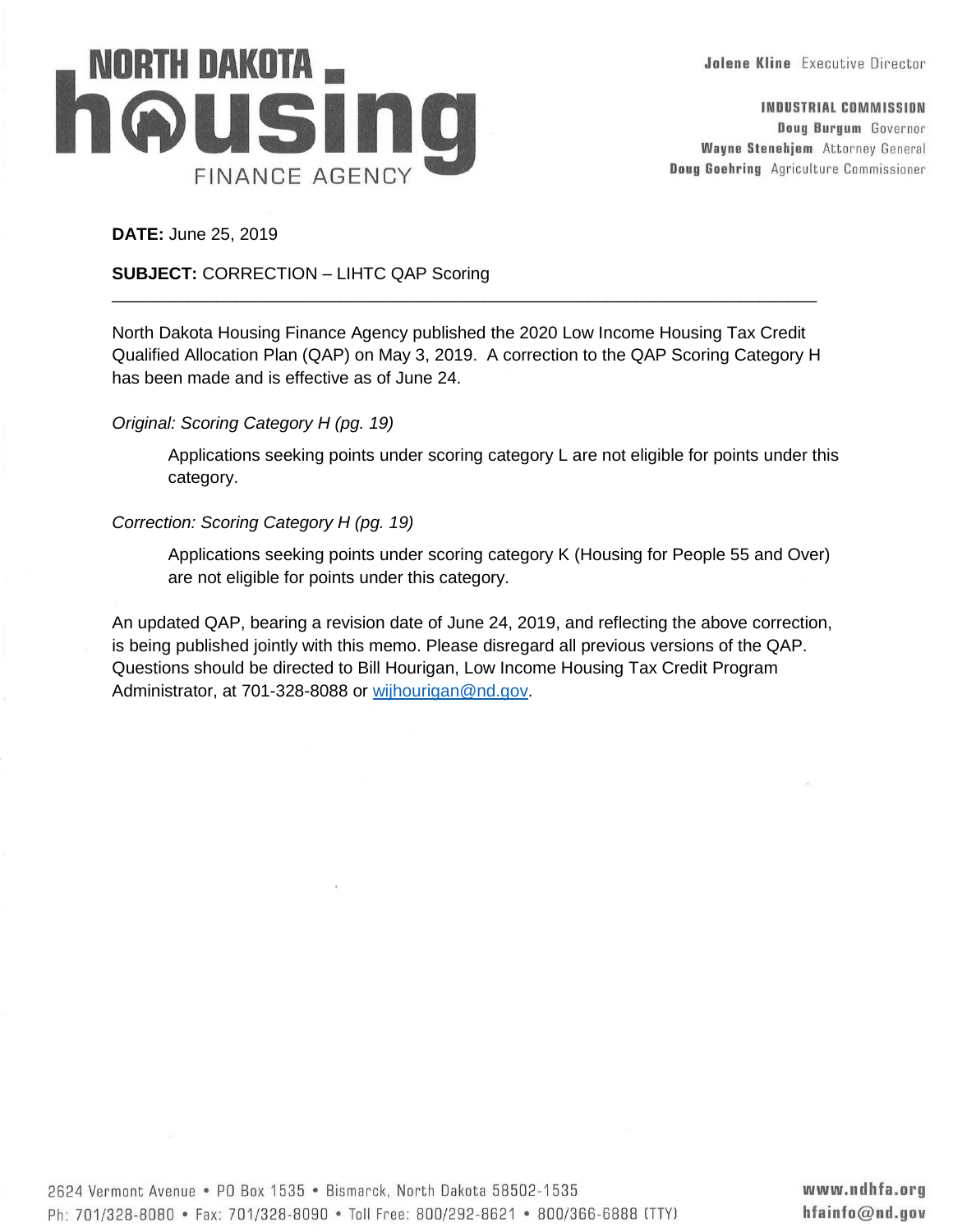**Jolene Kline** Executive Director



INDUSTRIAL COMMISSION Doug Burgum Governor **Wayne Stenehjem** Attorney General **Doug Goehring** Agriculture Commissioner

**DATE:** June 25, 2019

### **SUBJECT:** CORRECTION – LIHTC QAP Scoring

North Dakota Housing Finance Agency published the 2020 Low Income Housing Tax Credit Qualified Allocation Plan (QAP) on May 3, 2019. A correction to the QAP Scoring Category H has been made and is effective as of June 24.

\_\_\_\_\_\_\_\_\_\_\_\_\_\_\_\_\_\_\_\_\_\_\_\_\_\_\_\_\_\_\_\_\_\_\_\_\_\_\_\_\_\_\_\_\_\_\_\_\_\_\_\_\_\_\_\_\_\_\_\_\_\_\_\_\_\_\_\_\_\_\_\_\_\_

# *Original: Scoring Category H (pg. 19)*

Applications seeking points under scoring category L are not eligible for points under this category.

### *Correction: Scoring Category H (pg. 19)*

Applications seeking points under scoring category K (Housing for People 55 and Over) are not eligible for points under this category.

An updated QAP, bearing a revision date of June 24, 2019, and reflecting the above correction, is being published jointly with this memo. Please disregard all previous versions of the QAP. Questions should be directed to Bill Hourigan, Low Income Housing Tax Credit Program Administrator, at 701-328-8088 or [wijhourigan@nd.gov.](mailto:wijhourigan@nd.gov)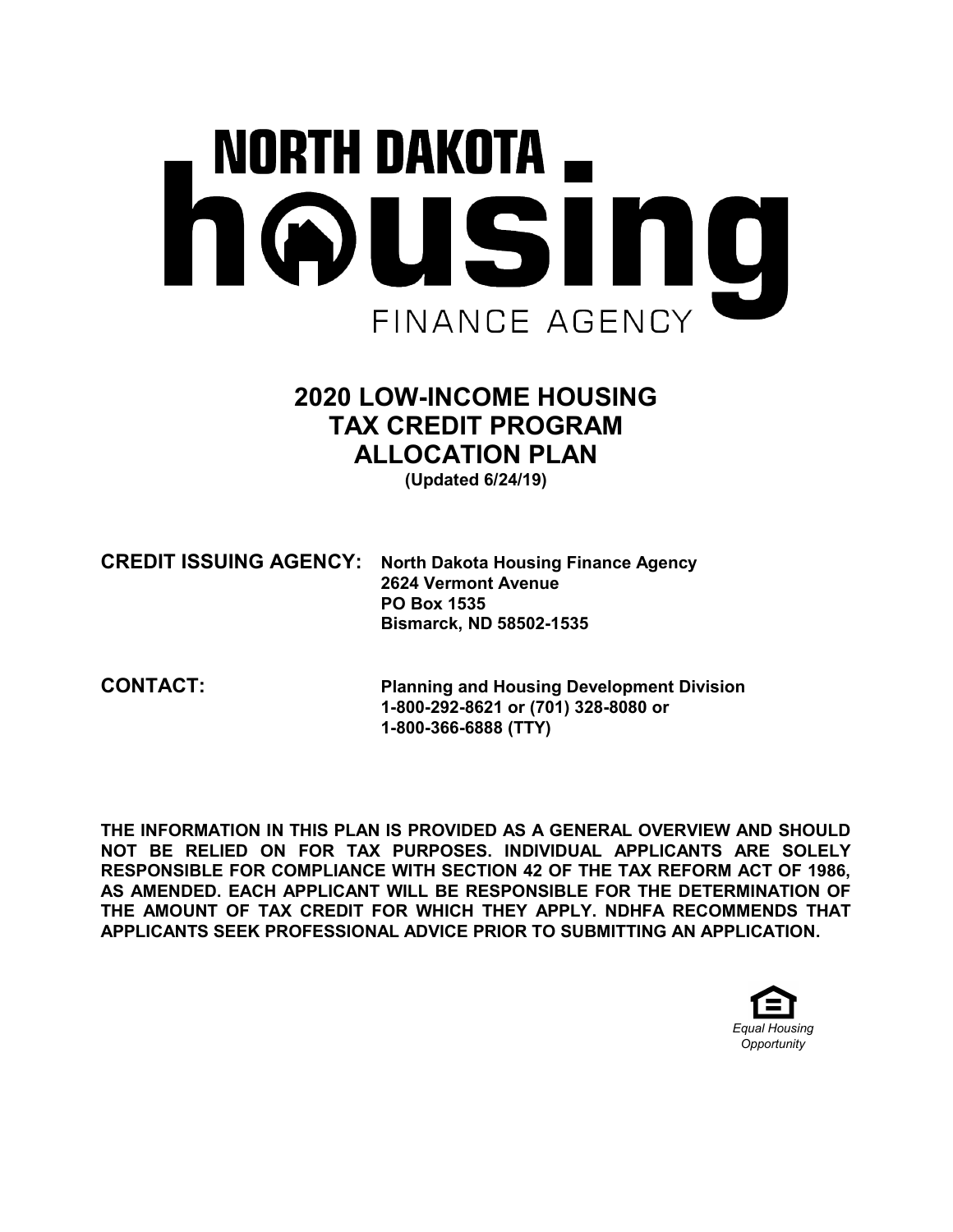# NORTH DAKOTA \_ housing FINANCE AGENCY

# 2020 LOW-INCOME HOUSING TAX CREDIT PROGRAM ALLOCATION PLAN

(Updated 6/24/19)

CREDIT ISSUING AGENCY: North Dakota Housing Finance Agency 2624 Vermont Avenue PO Box 1535 Bismarck, ND 58502-1535

CONTACT: Planning and Housing Development Division 1-800-292-8621 or (701) 328-8080 or 1-800-366-6888 (TTY)

THE INFORMATION IN THIS PLAN IS PROVIDED AS A GENERAL OVERVIEW AND SHOULD NOT BE RELIED ON FOR TAX PURPOSES. INDIVIDUAL APPLICANTS ARE SOLELY RESPONSIBLE FOR COMPLIANCE WITH SECTION 42 OF THE TAX REFORM ACT OF 1986, AS AMENDED. EACH APPLICANT WILL BE RESPONSIBLE FOR THE DETERMINATION OF THE AMOUNT OF TAX CREDIT FOR WHICH THEY APPLY. NDHFA RECOMMENDS THAT APPLICANTS SEEK PROFESSIONAL ADVICE PRIOR TO SUBMITTING AN APPLICATION.

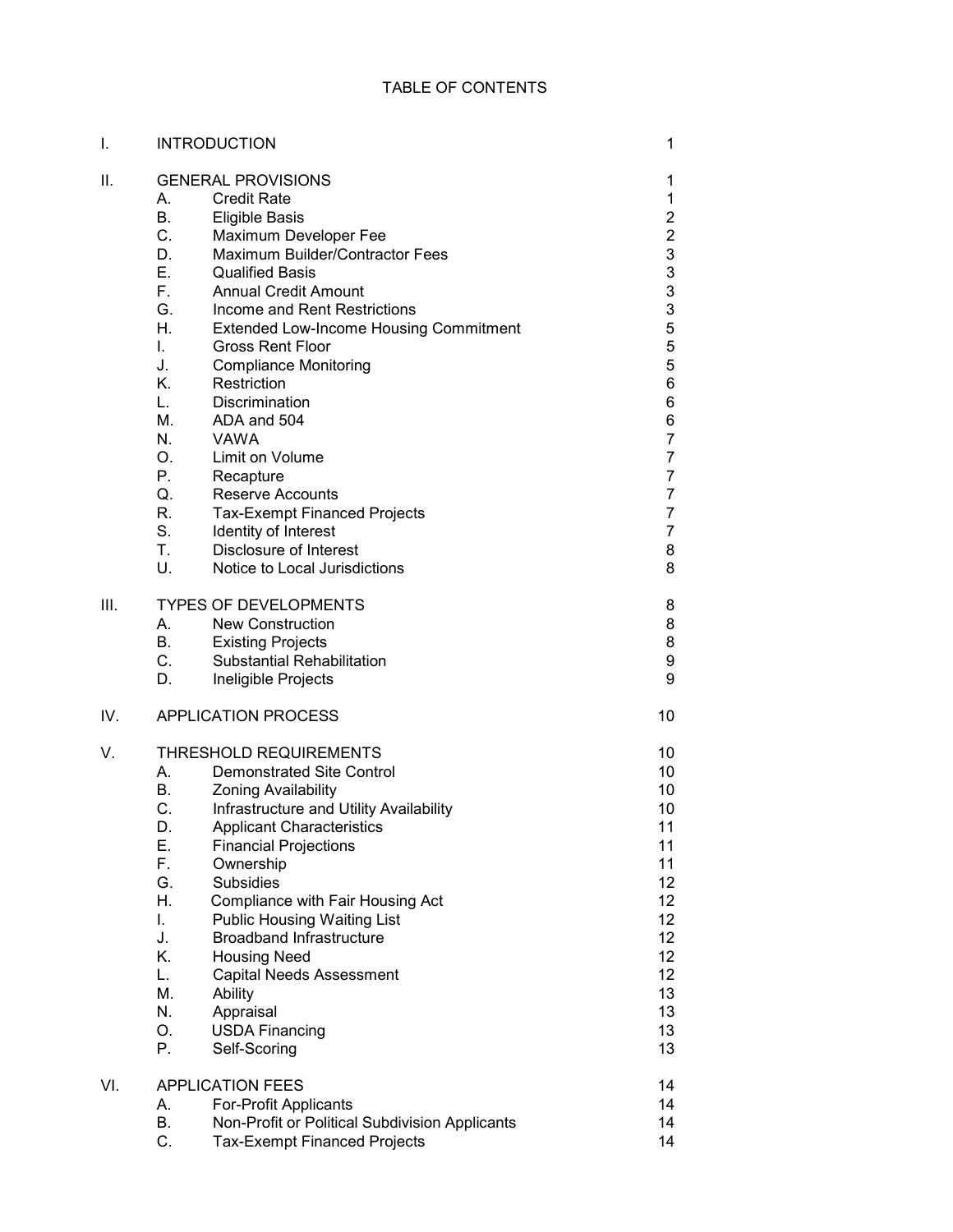| I.   | <b>INTRODUCTION</b>          |                                                | 1               |  |
|------|------------------------------|------------------------------------------------|-----------------|--|
| Ⅱ.   | <b>GENERAL PROVISIONS</b>    |                                                |                 |  |
|      |                              | <b>Credit Rate</b>                             | 1<br>1          |  |
|      | В.                           | <b>Eligible Basis</b>                          | $\overline{2}$  |  |
|      | $C_{-}$                      | Maximum Developer Fee                          | $\overline{2}$  |  |
|      | D.                           | Maximum Builder/Contractor Fees                | 3               |  |
|      | Е.                           | <b>Qualified Basis</b>                         | 3               |  |
|      | F.                           | <b>Annual Credit Amount</b>                    | 3               |  |
|      | G.                           | Income and Rent Restrictions                   | 3               |  |
|      | Η.                           | <b>Extended Low-Income Housing Commitment</b>  | 5               |  |
|      | L.                           | <b>Gross Rent Floor</b>                        | 5               |  |
|      | J.                           | <b>Compliance Monitoring</b>                   | 5               |  |
|      | Κ.                           | Restriction                                    | 6               |  |
|      | L.                           | Discrimination                                 | 6               |  |
|      | М.                           | ADA and 504                                    | 6               |  |
|      | N.                           | <b>VAWA</b>                                    | $\overline{7}$  |  |
|      | O.                           | Limit on Volume                                | 7               |  |
|      | Р.                           | Recapture                                      | 7               |  |
|      | Q.                           | <b>Reserve Accounts</b>                        | 7               |  |
|      | R.                           | <b>Tax-Exempt Financed Projects</b>            | 7               |  |
|      | $S_{-}$                      | Identity of Interest                           | 7               |  |
|      | Τ.                           | Disclosure of Interest                         | 8               |  |
|      | U.                           | Notice to Local Jurisdictions                  | 8               |  |
| III. | <b>TYPES OF DEVELOPMENTS</b> |                                                |                 |  |
|      | А.                           | <b>New Construction</b>                        | 8<br>8          |  |
|      | <b>B.</b>                    | <b>Existing Projects</b>                       | 8               |  |
|      | $C_{-}$                      | <b>Substantial Rehabilitation</b>              | 9               |  |
|      | D.                           | Ineligible Projects                            | 9               |  |
| IV.  |                              | <b>APPLICATION PROCESS</b>                     | 10              |  |
| V.   |                              | <b>THRESHOLD REQUIREMENTS</b>                  | 10              |  |
|      | А.                           | <b>Demonstrated Site Control</b>               | 10              |  |
|      | В.                           | <b>Zoning Availability</b>                     | 10              |  |
|      | C.                           | Infrastructure and Utility Availability        | 10              |  |
|      | D.                           | <b>Applicant Characteristics</b>               | 11              |  |
|      | Е.                           | <b>Financial Projections</b>                   | 11              |  |
|      | F.                           | Ownership                                      | 11              |  |
|      | G.                           | <b>Subsidies</b>                               | 12              |  |
|      | Η.                           | Compliance with Fair Housing Act               | 12 <sub>2</sub> |  |
|      | I.                           | <b>Public Housing Waiting List</b>             | 12 <sub>2</sub> |  |
|      | J.                           | <b>Broadband Infrastructure</b>                | 12 <sub>2</sub> |  |
|      | Κ.                           | <b>Housing Need</b>                            | 12 <sub>2</sub> |  |
|      | L.                           | <b>Capital Needs Assessment</b>                | 12              |  |
|      | M.                           | Ability                                        | 13              |  |
|      | N.                           | Appraisal                                      | 13              |  |
|      | О.                           | <b>USDA Financing</b>                          | 13              |  |
|      | Ρ.                           | Self-Scoring                                   | 13              |  |
| VI.  |                              | <b>APPLICATION FEES</b>                        | 14              |  |
|      | А.                           | For-Profit Applicants                          | 14              |  |
|      | В.                           | Non-Profit or Political Subdivision Applicants | 14              |  |
|      | C.                           | <b>Tax-Exempt Financed Projects</b>            | 14              |  |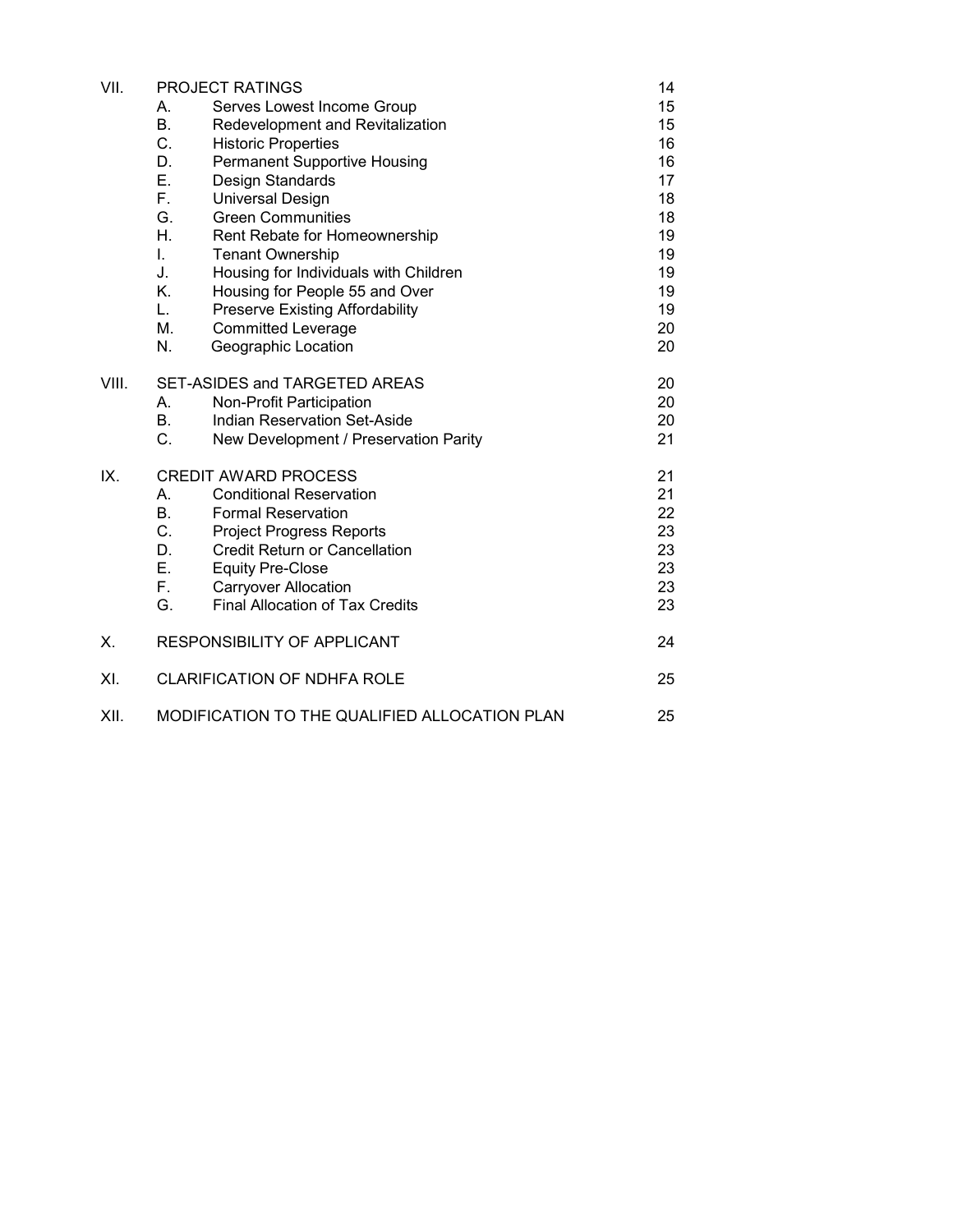| VII.  | <b>PROJECT RATINGS</b>                              |                                       | 14 |
|-------|-----------------------------------------------------|---------------------------------------|----|
|       | Serves Lowest Income Group<br>А.                    |                                       | 15 |
|       | <b>B.</b><br>Redevelopment and Revitalization       |                                       | 15 |
|       | C.<br><b>Historic Properties</b>                    |                                       | 16 |
|       | D.<br><b>Permanent Supportive Housing</b>           |                                       | 16 |
|       | Е.<br>Design Standards                              |                                       | 17 |
|       | Е.<br><b>Universal Design</b>                       |                                       | 18 |
|       | G.<br><b>Green Communities</b>                      |                                       | 18 |
|       | Η.<br>Rent Rebate for Homeownership                 |                                       | 19 |
|       | L.<br><b>Tenant Ownership</b>                       |                                       | 19 |
|       | J.<br>Housing for Individuals with Children         |                                       | 19 |
|       | K.<br>Housing for People 55 and Over                |                                       | 19 |
|       | L.<br><b>Preserve Existing Affordability</b>        |                                       | 19 |
|       | М.<br><b>Committed Leverage</b>                     |                                       | 20 |
|       | N.<br>Geographic Location                           |                                       | 20 |
| VIII. | SET-ASIDES and TARGETED AREAS                       |                                       | 20 |
|       | Non-Profit Participation<br>А.                      |                                       | 20 |
|       | В.<br><b>Indian Reservation Set-Aside</b>           |                                       | 20 |
|       | C.                                                  | New Development / Preservation Parity | 21 |
| IX.   | <b>CREDIT AWARD PROCESS</b>                         |                                       | 21 |
|       | А.<br><b>Conditional Reservation</b>                |                                       | 21 |
|       | В.<br><b>Formal Reservation</b>                     |                                       | 22 |
|       | C.<br><b>Project Progress Reports</b>               |                                       | 23 |
|       | D.<br><b>Credit Return or Cancellation</b>          |                                       | 23 |
|       | Ε.<br><b>Equity Pre-Close</b>                       |                                       | 23 |
|       | <b>Carryover Allocation</b><br>F.                   |                                       | 23 |
|       | <b>Final Allocation of Tax Credits</b><br>G.        |                                       | 23 |
| Χ.    | RESPONSIBILITY OF APPLICANT                         |                                       | 24 |
| XI.   | <b>CLARIFICATION OF NDHFA ROLE</b><br>25            |                                       |    |
| XII.  | MODIFICATION TO THE QUALIFIED ALLOCATION PLAN<br>25 |                                       |    |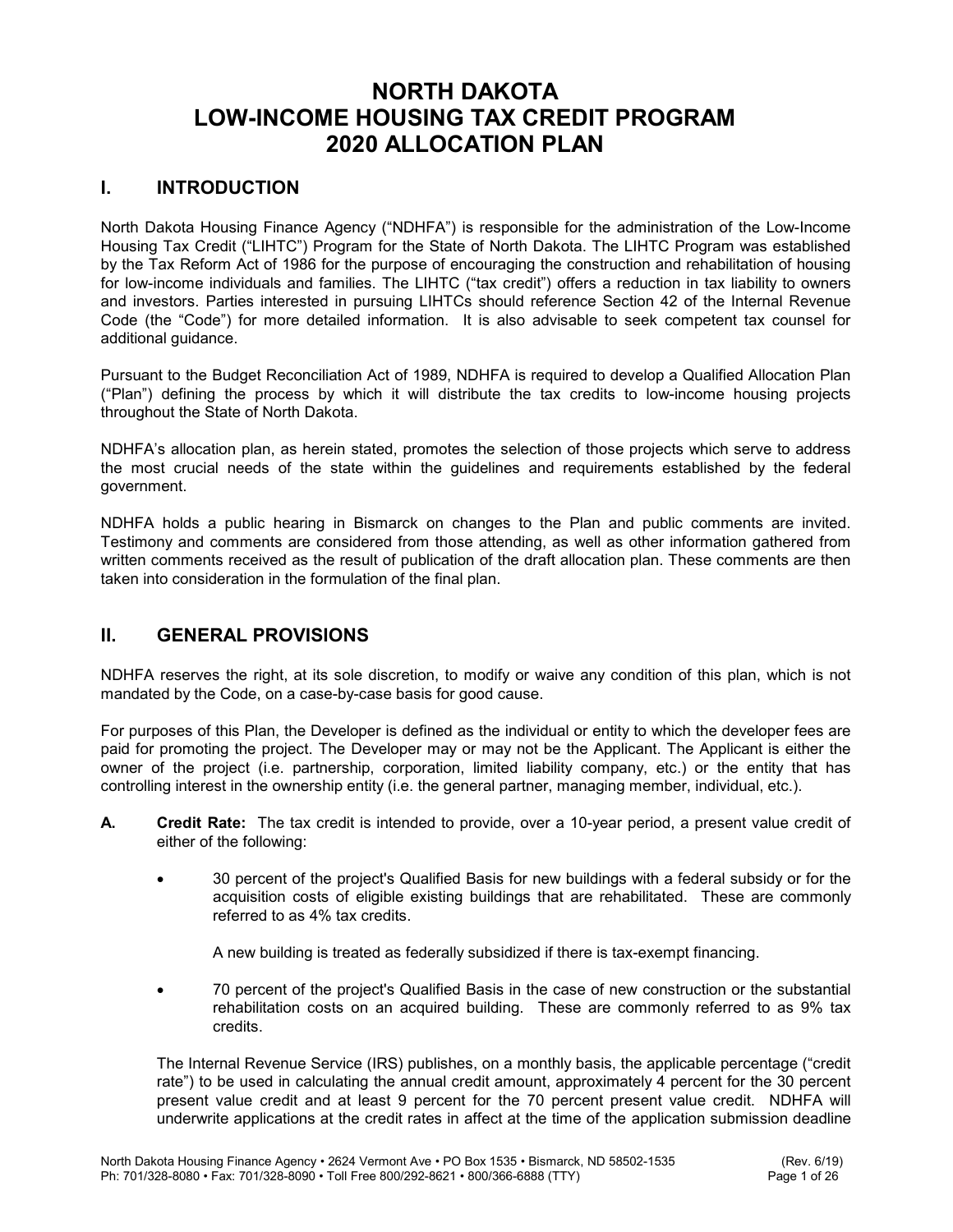# NORTH DAKOTA LOW-INCOME HOUSING TAX CREDIT PROGRAM 2020 ALLOCATION PLAN

# I. INTRODUCTION

North Dakota Housing Finance Agency ("NDHFA") is responsible for the administration of the Low-Income Housing Tax Credit ("LIHTC") Program for the State of North Dakota. The LIHTC Program was established by the Tax Reform Act of 1986 for the purpose of encouraging the construction and rehabilitation of housing for low-income individuals and families. The LIHTC ("tax credit") offers a reduction in tax liability to owners and investors. Parties interested in pursuing LIHTCs should reference Section 42 of the Internal Revenue Code (the "Code") for more detailed information. It is also advisable to seek competent tax counsel for additional guidance.

Pursuant to the Budget Reconciliation Act of 1989, NDHFA is required to develop a Qualified Allocation Plan ("Plan") defining the process by which it will distribute the tax credits to low-income housing projects throughout the State of North Dakota.

NDHFA's allocation plan, as herein stated, promotes the selection of those projects which serve to address the most crucial needs of the state within the guidelines and requirements established by the federal government.

NDHFA holds a public hearing in Bismarck on changes to the Plan and public comments are invited. Testimony and comments are considered from those attending, as well as other information gathered from written comments received as the result of publication of the draft allocation plan. These comments are then taken into consideration in the formulation of the final plan.

# II. GENERAL PROVISIONS

NDHFA reserves the right, at its sole discretion, to modify or waive any condition of this plan, which is not mandated by the Code, on a case-by-case basis for good cause.

For purposes of this Plan, the Developer is defined as the individual or entity to which the developer fees are paid for promoting the project. The Developer may or may not be the Applicant. The Applicant is either the owner of the project (i.e. partnership, corporation, limited liability company, etc.) or the entity that has controlling interest in the ownership entity (i.e. the general partner, managing member, individual, etc.).

- A. Credit Rate: The tax credit is intended to provide, over a 10-year period, a present value credit of either of the following:
	- 30 percent of the project's Qualified Basis for new buildings with a federal subsidy or for the acquisition costs of eligible existing buildings that are rehabilitated. These are commonly referred to as 4% tax credits.

A new building is treated as federally subsidized if there is tax-exempt financing.

 70 percent of the project's Qualified Basis in the case of new construction or the substantial rehabilitation costs on an acquired building. These are commonly referred to as 9% tax credits.

 The Internal Revenue Service (IRS) publishes, on a monthly basis, the applicable percentage ("credit rate") to be used in calculating the annual credit amount, approximately 4 percent for the 30 percent present value credit and at least 9 percent for the 70 percent present value credit. NDHFA will underwrite applications at the credit rates in affect at the time of the application submission deadline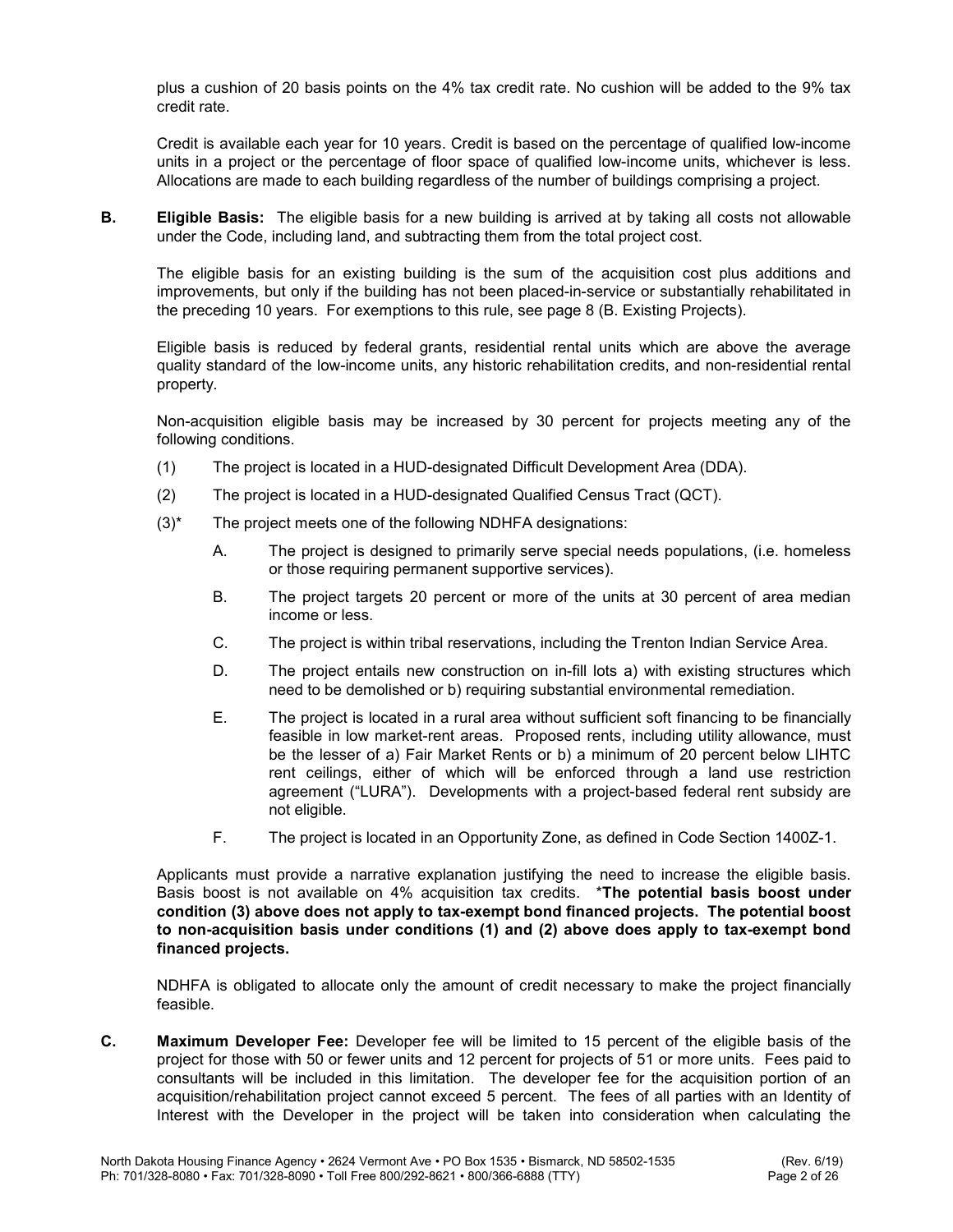plus a cushion of 20 basis points on the 4% tax credit rate. No cushion will be added to the 9% tax credit rate.

 Credit is available each year for 10 years. Credit is based on the percentage of qualified low-income units in a project or the percentage of floor space of qualified low-income units, whichever is less. Allocations are made to each building regardless of the number of buildings comprising a project.

**B.** Eligible Basis: The eligible basis for a new building is arrived at by taking all costs not allowable under the Code, including land, and subtracting them from the total project cost.

 The eligible basis for an existing building is the sum of the acquisition cost plus additions and improvements, but only if the building has not been placed-in-service or substantially rehabilitated in the preceding 10 years. For exemptions to this rule, see page 8 (B. Existing Projects).

 Eligible basis is reduced by federal grants, residential rental units which are above the average quality standard of the low-income units, any historic rehabilitation credits, and non-residential rental property.

Non-acquisition eligible basis may be increased by 30 percent for projects meeting any of the following conditions.

- (1) The project is located in a HUD-designated Difficult Development Area (DDA).
- (2) The project is located in a HUD-designated Qualified Census Tract (QCT).
- (3)\* The project meets one of the following NDHFA designations:
	- A. The project is designed to primarily serve special needs populations, (i.e. homeless or those requiring permanent supportive services).
	- B. The project targets 20 percent or more of the units at 30 percent of area median income or less.
	- C. The project is within tribal reservations, including the Trenton Indian Service Area.
	- D. The project entails new construction on in-fill lots a) with existing structures which need to be demolished or b) requiring substantial environmental remediation.
	- E. The project is located in a rural area without sufficient soft financing to be financially feasible in low market-rent areas. Proposed rents, including utility allowance, must be the lesser of a) Fair Market Rents or b) a minimum of 20 percent below LIHTC rent ceilings, either of which will be enforced through a land use restriction agreement ("LURA"). Developments with a project-based federal rent subsidy are not eligible.
	- F. The project is located in an Opportunity Zone, as defined in Code Section 1400Z-1.

 Applicants must provide a narrative explanation justifying the need to increase the eligible basis. Basis boost is not available on 4% acquisition tax credits. \*The potential basis boost under condition (3) above does not apply to tax-exempt bond financed projects. The potential boost to non-acquisition basis under conditions (1) and (2) above does apply to tax-exempt bond financed projects.

 NDHFA is obligated to allocate only the amount of credit necessary to make the project financially feasible.

C. Maximum Developer Fee: Developer fee will be limited to 15 percent of the eligible basis of the project for those with 50 or fewer units and 12 percent for projects of 51 or more units. Fees paid to consultants will be included in this limitation. The developer fee for the acquisition portion of an acquisition/rehabilitation project cannot exceed 5 percent. The fees of all parties with an Identity of Interest with the Developer in the project will be taken into consideration when calculating the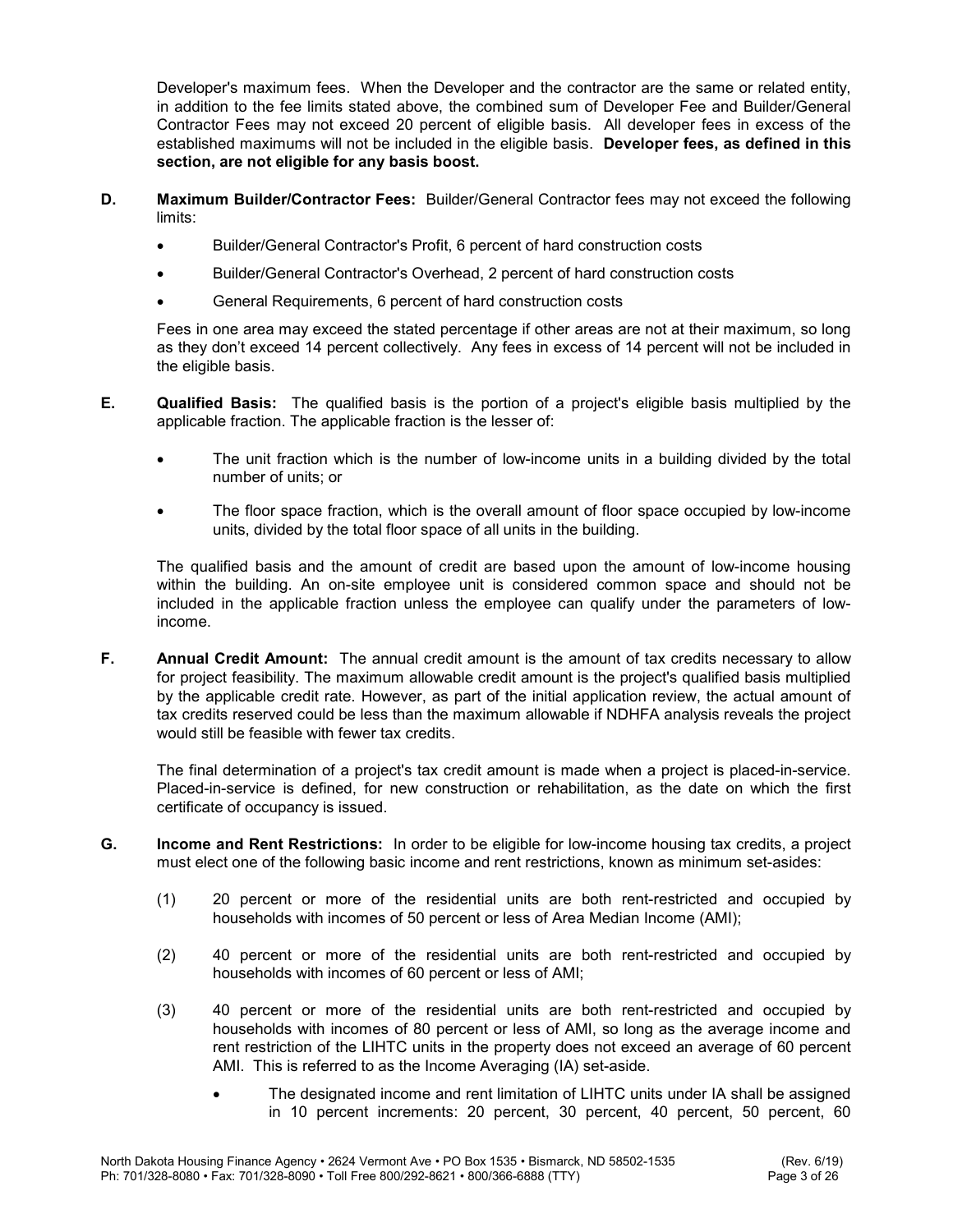Developer's maximum fees. When the Developer and the contractor are the same or related entity, in addition to the fee limits stated above, the combined sum of Developer Fee and Builder/General Contractor Fees may not exceed 20 percent of eligible basis. All developer fees in excess of the established maximums will not be included in the eligible basis. Developer fees, as defined in this section, are not eligible for any basis boost.

- D. Maximum Builder/Contractor Fees: Builder/General Contractor fees may not exceed the following limits:
	- Builder/General Contractor's Profit, 6 percent of hard construction costs
	- Builder/General Contractor's Overhead, 2 percent of hard construction costs
	- General Requirements, 6 percent of hard construction costs

 Fees in one area may exceed the stated percentage if other areas are not at their maximum, so long as they don't exceed 14 percent collectively. Any fees in excess of 14 percent will not be included in the eligible basis.

- E. Qualified Basis: The qualified basis is the portion of a project's eligible basis multiplied by the applicable fraction. The applicable fraction is the lesser of:
	- The unit fraction which is the number of low-income units in a building divided by the total number of units; or
	- The floor space fraction, which is the overall amount of floor space occupied by low-income units, divided by the total floor space of all units in the building.

 The qualified basis and the amount of credit are based upon the amount of low-income housing within the building. An on-site employee unit is considered common space and should not be included in the applicable fraction unless the employee can qualify under the parameters of lowincome.

F. Annual Credit Amount: The annual credit amount is the amount of tax credits necessary to allow for project feasibility. The maximum allowable credit amount is the project's qualified basis multiplied by the applicable credit rate. However, as part of the initial application review, the actual amount of tax credits reserved could be less than the maximum allowable if NDHFA analysis reveals the project would still be feasible with fewer tax credits.

 The final determination of a project's tax credit amount is made when a project is placed-in-service. Placed-in-service is defined, for new construction or rehabilitation, as the date on which the first certificate of occupancy is issued.

- G. Income and Rent Restrictions: In order to be eligible for low-income housing tax credits, a project must elect one of the following basic income and rent restrictions, known as minimum set-asides:
	- (1) 20 percent or more of the residential units are both rent-restricted and occupied by households with incomes of 50 percent or less of Area Median Income (AMI);
	- (2) 40 percent or more of the residential units are both rent-restricted and occupied by households with incomes of 60 percent or less of AMI;
	- (3) 40 percent or more of the residential units are both rent-restricted and occupied by households with incomes of 80 percent or less of AMI, so long as the average income and rent restriction of the LIHTC units in the property does not exceed an average of 60 percent AMI. This is referred to as the Income Averaging (IA) set-aside.
		- The designated income and rent limitation of LIHTC units under IA shall be assigned in 10 percent increments: 20 percent, 30 percent, 40 percent, 50 percent, 60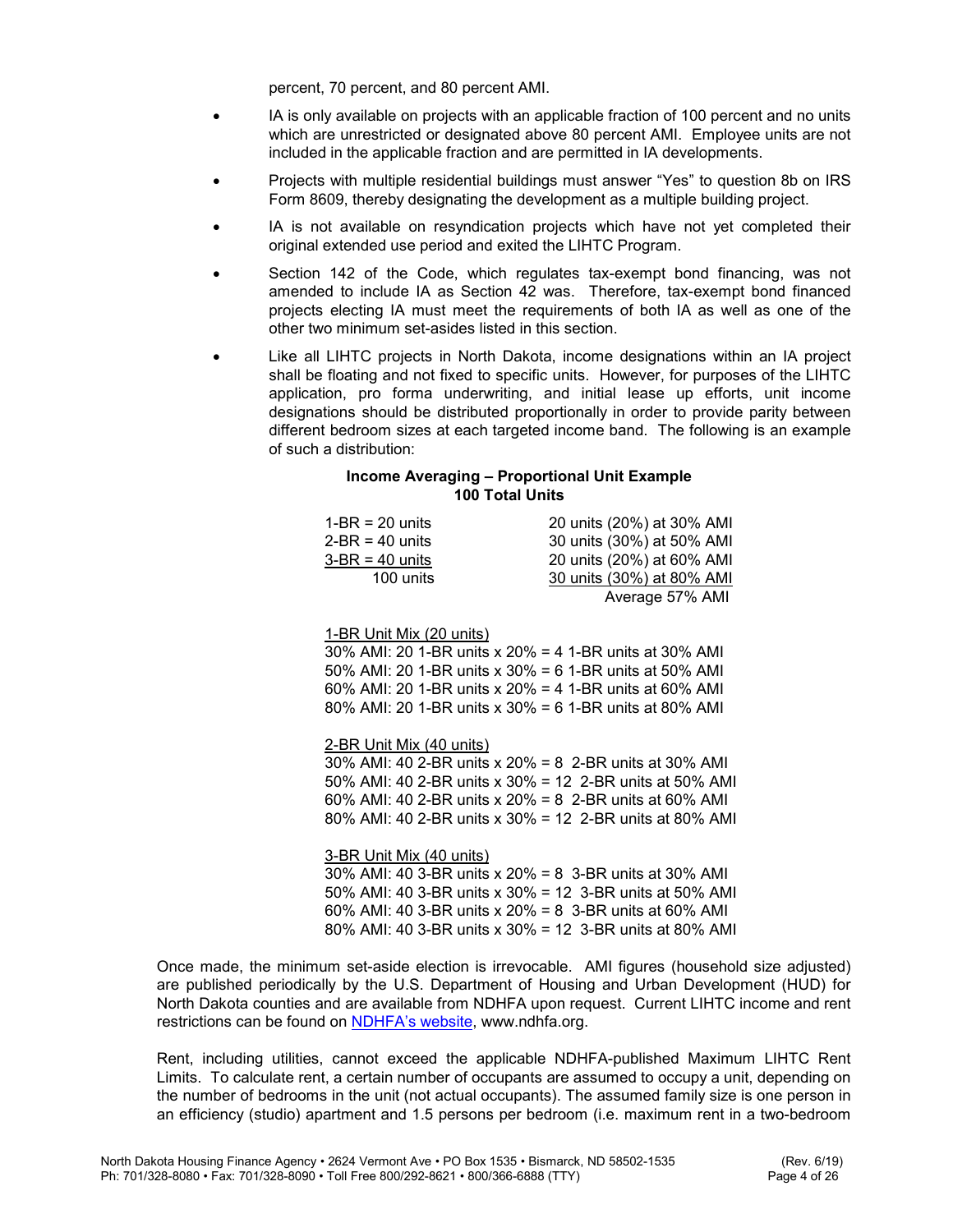percent, 70 percent, and 80 percent AMI.

- IA is only available on projects with an applicable fraction of 100 percent and no units which are unrestricted or designated above 80 percent AMI. Employee units are not included in the applicable fraction and are permitted in IA developments.
- Projects with multiple residential buildings must answer "Yes" to question 8b on IRS Form 8609, thereby designating the development as a multiple building project.
- IA is not available on resyndication projects which have not yet completed their original extended use period and exited the LIHTC Program.
- Section 142 of the Code, which regulates tax-exempt bond financing, was not amended to include IA as Section 42 was. Therefore, tax-exempt bond financed projects electing IA must meet the requirements of both IA as well as one of the other two minimum set-asides listed in this section.
- Like all LIHTC projects in North Dakota, income designations within an IA project shall be floating and not fixed to specific units. However, for purposes of the LIHTC application, pro forma underwriting, and initial lease up efforts, unit income designations should be distributed proportionally in order to provide parity between different bedroom sizes at each targeted income band. The following is an example of such a distribution:

#### Income Averaging – Proportional Unit Example 100 Total Units

| $1-BR = 20$ units                                       | 20 units (20%) at 30% AMI |
|---------------------------------------------------------|---------------------------|
| $2-BR = 40$ units                                       | 30 units (30%) at 50% AMI |
| $3-BR = 40$ units                                       | 20 units (20%) at 60% AMI |
| 100 units                                               | 30 units (30%) at 80% AMI |
|                                                         | Average 57% AMI           |
|                                                         |                           |
| 1-BR Unit Mix (20 units)                                |                           |
| 30% AMI: 20 1-BR units x 20% = 4 1-BR units at 30% AMI  |                           |
| 50% AMI: 20 1-BR units x 30% = 6 1-BR units at 50% AMI  |                           |
| 60% AMI: 20 1-BR units x 20% = 4 1-BR units at 60% AMI  |                           |
| 80% AMI: 20 1-BR units x 30% = 6 1-BR units at 80% AMI  |                           |
|                                                         |                           |
| 2-BR Unit Mix (40 units)                                |                           |
| 30% AMI: 40 2-BR units x 20% = 8 2-BR units at 30% AMI  |                           |
| 50% AMI: 40 2-BR units x 30% = 12 2-BR units at 50% AMI |                           |
| 60% AMI: 40 2-BR units x 20% = 8 2-BR units at 60% AMI  |                           |
| 80% AMI: 40 2-BR units x 30% = 12 2-BR units at 80% AMI |                           |
|                                                         |                           |
| 3-BR Unit Mix (40 units)                                |                           |
| 30% AMI: 40 3-BR units x 20% = 8 3-BR units at 30% AMI  |                           |
| 50% AMI: 40 3-BR units x 30% = 12 3-BR units at 50% AMI |                           |
| 60% AMI: 40 3-BR units x 20% = 8 3-BR units at 60% AMI  |                           |
| 80% AMI: 40 3-BR units x 30% = 12 3-BR units at 80% AMI |                           |
|                                                         |                           |

Once made, the minimum set-aside election is irrevocable. AMI figures (household size adjusted) are published periodically by the U.S. Department of Housing and Urban Development (HUD) for North Dakota counties and are available from NDHFA upon request. Current LIHTC income and rent restrictions can be found on NDHFA's website, www.ndhfa.org.

 Rent, including utilities, cannot exceed the applicable NDHFA-published Maximum LIHTC Rent Limits. To calculate rent, a certain number of occupants are assumed to occupy a unit, depending on the number of bedrooms in the unit (not actual occupants). The assumed family size is one person in an efficiency (studio) apartment and 1.5 persons per bedroom (i.e. maximum rent in a two-bedroom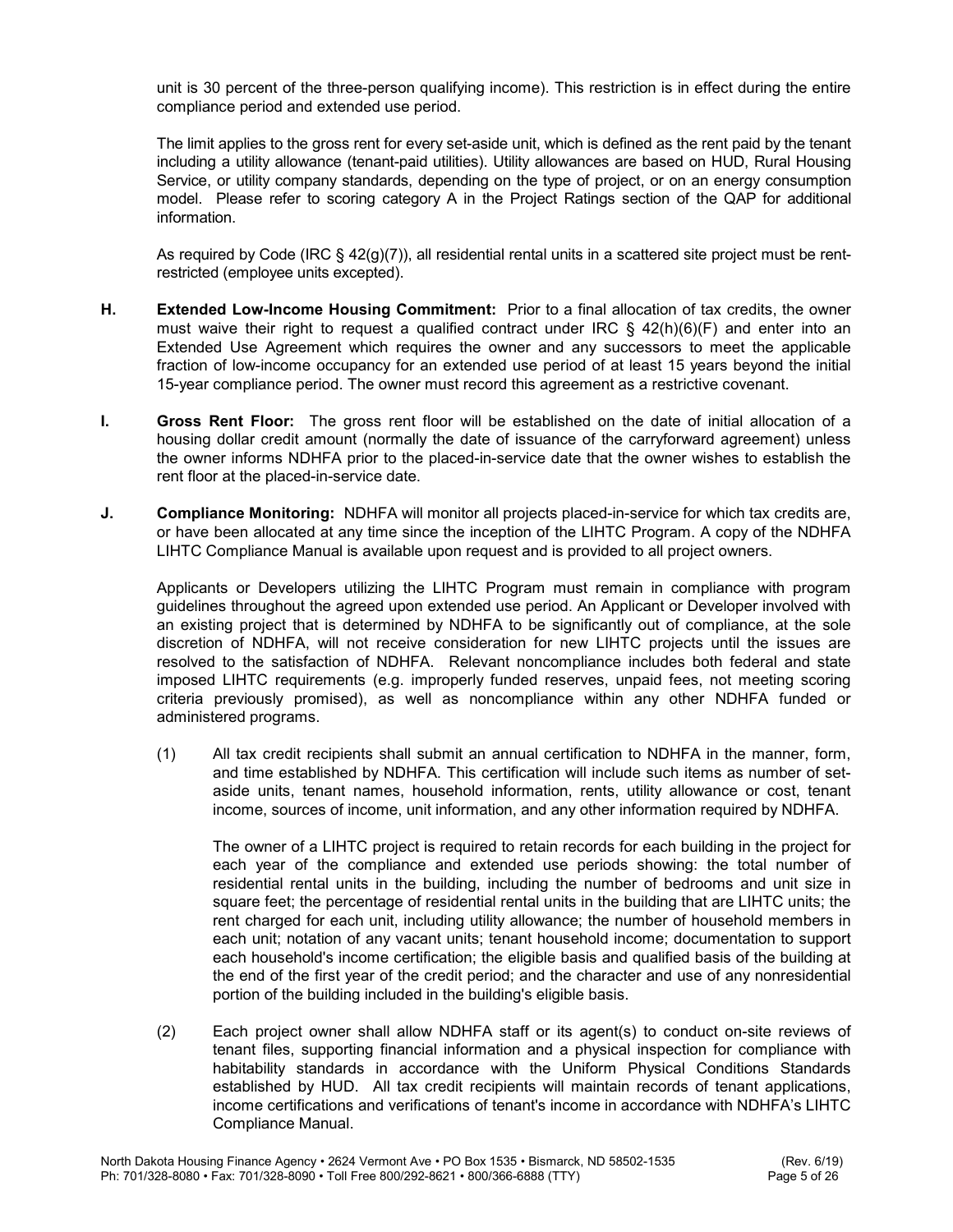unit is 30 percent of the three-person qualifying income). This restriction is in effect during the entire compliance period and extended use period.

 The limit applies to the gross rent for every set-aside unit, which is defined as the rent paid by the tenant including a utility allowance (tenant-paid utilities). Utility allowances are based on HUD, Rural Housing Service, or utility company standards, depending on the type of project, or on an energy consumption model. Please refer to scoring category A in the Project Ratings section of the QAP for additional information.

As required by Code (IRC  $\S$  42(g)(7)), all residential rental units in a scattered site project must be rentrestricted (employee units excepted).

- H. Extended Low-Income Housing Commitment: Prior to a final allocation of tax credits, the owner must waive their right to request a qualified contract under IRC § 42(h)(6)(F) and enter into an Extended Use Agreement which requires the owner and any successors to meet the applicable fraction of low-income occupancy for an extended use period of at least 15 years beyond the initial 15-year compliance period. The owner must record this agreement as a restrictive covenant.
- I. Gross Rent Floor: The gross rent floor will be established on the date of initial allocation of a housing dollar credit amount (normally the date of issuance of the carryforward agreement) unless the owner informs NDHFA prior to the placed-in-service date that the owner wishes to establish the rent floor at the placed-in-service date.
- J. Compliance Monitoring: NDHFA will monitor all projects placed-in-service for which tax credits are, or have been allocated at any time since the inception of the LIHTC Program. A copy of the NDHFA LIHTC Compliance Manual is available upon request and is provided to all project owners.

 Applicants or Developers utilizing the LIHTC Program must remain in compliance with program guidelines throughout the agreed upon extended use period. An Applicant or Developer involved with an existing project that is determined by NDHFA to be significantly out of compliance, at the sole discretion of NDHFA, will not receive consideration for new LIHTC projects until the issues are resolved to the satisfaction of NDHFA. Relevant noncompliance includes both federal and state imposed LIHTC requirements (e.g. improperly funded reserves, unpaid fees, not meeting scoring criteria previously promised), as well as noncompliance within any other NDHFA funded or administered programs.

 (1) All tax credit recipients shall submit an annual certification to NDHFA in the manner, form, and time established by NDHFA. This certification will include such items as number of setaside units, tenant names, household information, rents, utility allowance or cost, tenant income, sources of income, unit information, and any other information required by NDHFA.

 The owner of a LIHTC project is required to retain records for each building in the project for each year of the compliance and extended use periods showing: the total number of residential rental units in the building, including the number of bedrooms and unit size in square feet; the percentage of residential rental units in the building that are LIHTC units; the rent charged for each unit, including utility allowance; the number of household members in each unit; notation of any vacant units; tenant household income; documentation to support each household's income certification; the eligible basis and qualified basis of the building at the end of the first year of the credit period; and the character and use of any nonresidential portion of the building included in the building's eligible basis.

 (2) Each project owner shall allow NDHFA staff or its agent(s) to conduct on-site reviews of tenant files, supporting financial information and a physical inspection for compliance with habitability standards in accordance with the Uniform Physical Conditions Standards established by HUD. All tax credit recipients will maintain records of tenant applications, income certifications and verifications of tenant's income in accordance with NDHFA's LIHTC Compliance Manual.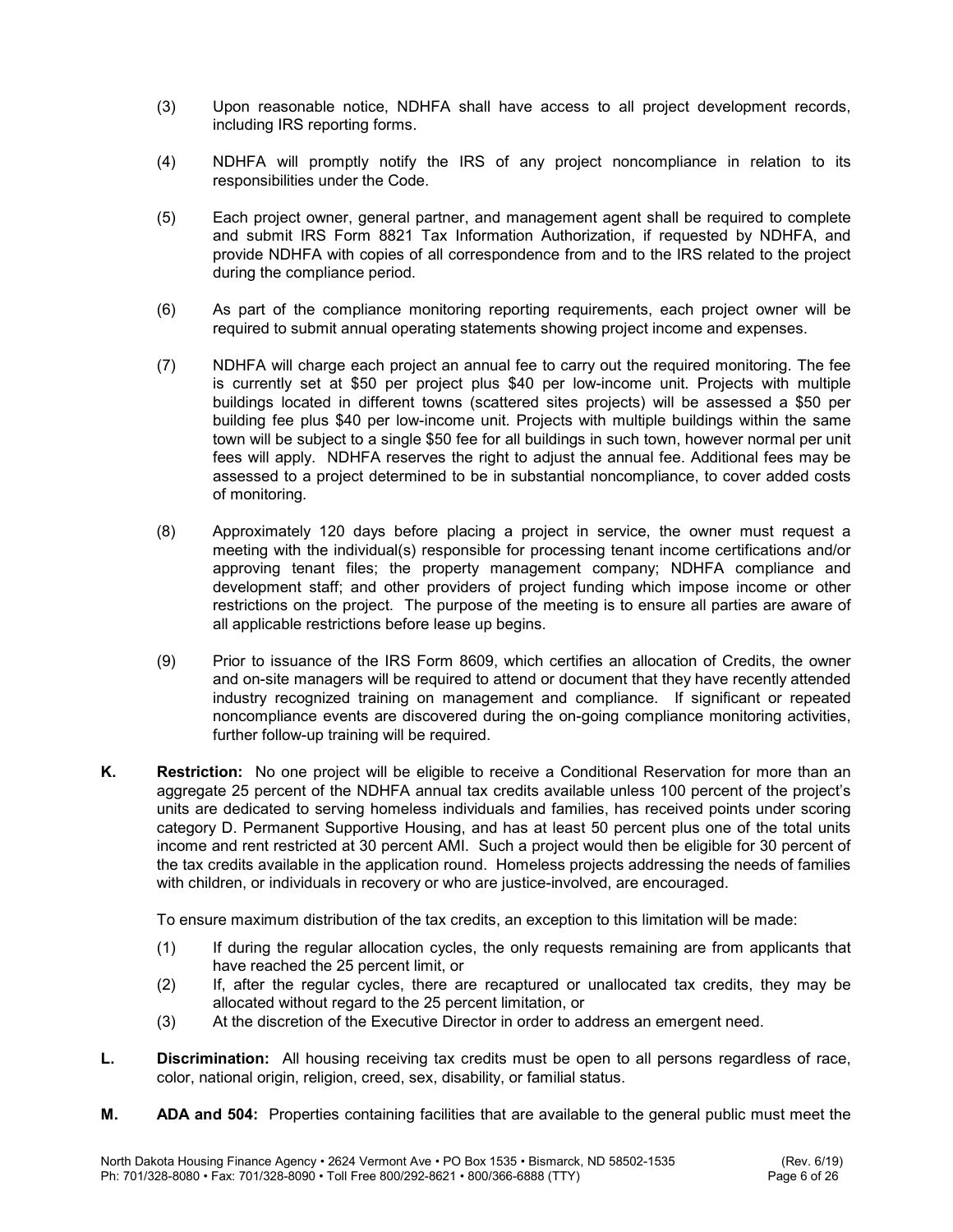- (3) Upon reasonable notice, NDHFA shall have access to all project development records, including IRS reporting forms.
- (4) NDHFA will promptly notify the IRS of any project noncompliance in relation to its responsibilities under the Code.
- (5) Each project owner, general partner, and management agent shall be required to complete and submit IRS Form 8821 Tax Information Authorization, if requested by NDHFA, and provide NDHFA with copies of all correspondence from and to the IRS related to the project during the compliance period.
- (6) As part of the compliance monitoring reporting requirements, each project owner will be required to submit annual operating statements showing project income and expenses.
- (7) NDHFA will charge each project an annual fee to carry out the required monitoring. The fee is currently set at \$50 per project plus \$40 per low-income unit. Projects with multiple buildings located in different towns (scattered sites projects) will be assessed a \$50 per building fee plus \$40 per low-income unit. Projects with multiple buildings within the same town will be subject to a single \$50 fee for all buildings in such town, however normal per unit fees will apply. NDHFA reserves the right to adjust the annual fee. Additional fees may be assessed to a project determined to be in substantial noncompliance, to cover added costs of monitoring.
- (8) Approximately 120 days before placing a project in service, the owner must request a meeting with the individual(s) responsible for processing tenant income certifications and/or approving tenant files; the property management company; NDHFA compliance and development staff; and other providers of project funding which impose income or other restrictions on the project. The purpose of the meeting is to ensure all parties are aware of all applicable restrictions before lease up begins.
- (9) Prior to issuance of the IRS Form 8609, which certifies an allocation of Credits, the owner and on-site managers will be required to attend or document that they have recently attended industry recognized training on management and compliance. If significant or repeated noncompliance events are discovered during the on-going compliance monitoring activities, further follow-up training will be required.
- K. Restriction: No one project will be eligible to receive a Conditional Reservation for more than an aggregate 25 percent of the NDHFA annual tax credits available unless 100 percent of the project's units are dedicated to serving homeless individuals and families, has received points under scoring category D. Permanent Supportive Housing, and has at least 50 percent plus one of the total units income and rent restricted at 30 percent AMI. Such a project would then be eligible for 30 percent of the tax credits available in the application round. Homeless projects addressing the needs of families with children, or individuals in recovery or who are justice-involved, are encouraged.

To ensure maximum distribution of the tax credits, an exception to this limitation will be made:

- (1) If during the regular allocation cycles, the only requests remaining are from applicants that have reached the 25 percent limit, or
- (2) If, after the regular cycles, there are recaptured or unallocated tax credits, they may be allocated without regard to the 25 percent limitation, or
- (3) At the discretion of the Executive Director in order to address an emergent need.
- L. Discrimination: All housing receiving tax credits must be open to all persons regardless of race, color, national origin, religion, creed, sex, disability, or familial status.
- M. ADA and 504: Properties containing facilities that are available to the general public must meet the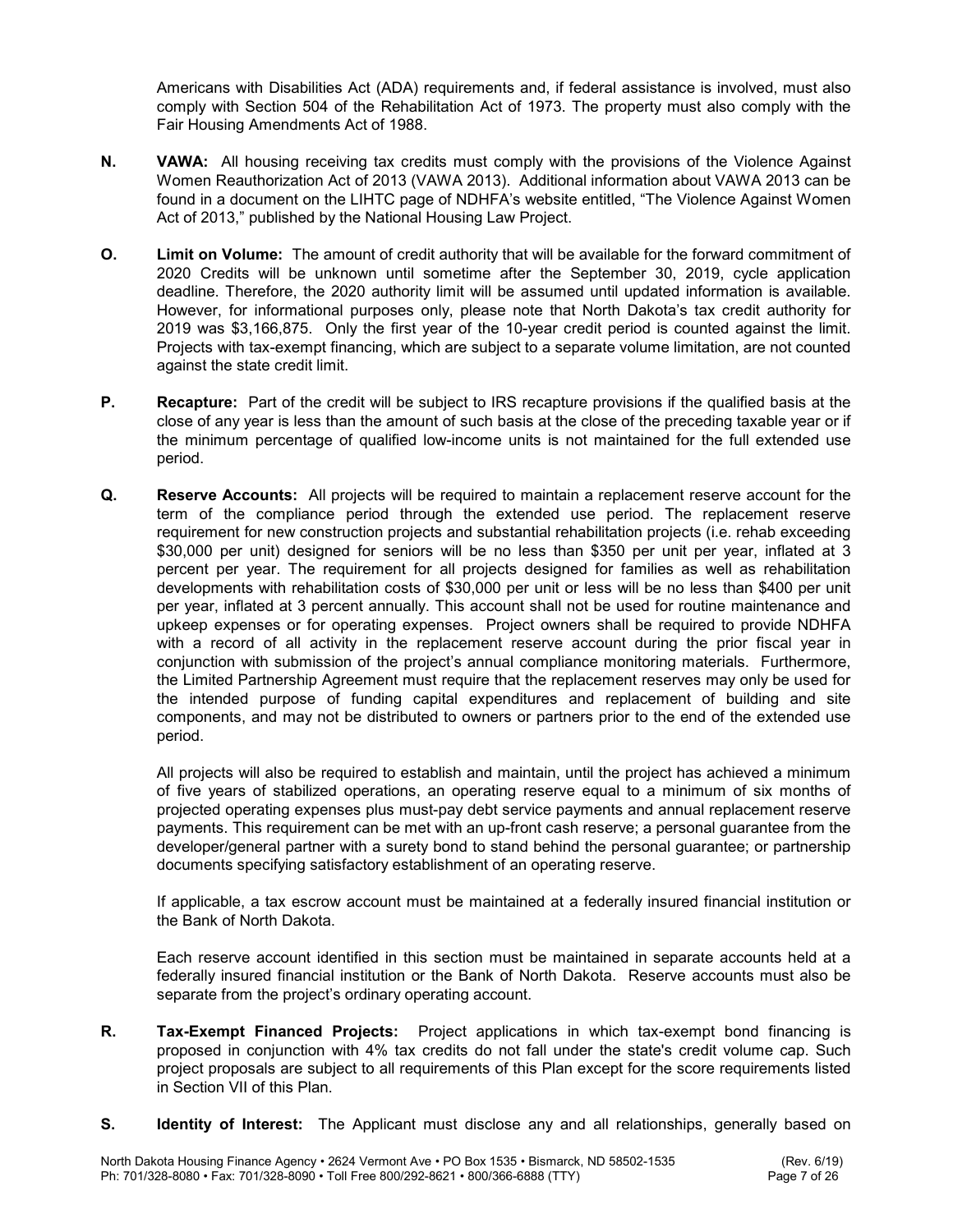Americans with Disabilities Act (ADA) requirements and, if federal assistance is involved, must also comply with Section 504 of the Rehabilitation Act of 1973. The property must also comply with the Fair Housing Amendments Act of 1988.

- N. VAWA: All housing receiving tax credits must comply with the provisions of the Violence Against Women Reauthorization Act of 2013 (VAWA 2013). Additional information about VAWA 2013 can be found in a document on the LIHTC page of NDHFA's website entitled, "The Violence Against Women Act of 2013," published by the National Housing Law Project.
- O. Limit on Volume: The amount of credit authority that will be available for the forward commitment of 2020 Credits will be unknown until sometime after the September 30, 2019, cycle application deadline. Therefore, the 2020 authority limit will be assumed until updated information is available. However, for informational purposes only, please note that North Dakota's tax credit authority for 2019 was \$3,166,875. Only the first year of the 10-year credit period is counted against the limit. Projects with tax-exempt financing, which are subject to a separate volume limitation, are not counted against the state credit limit.
- P. Recapture: Part of the credit will be subject to IRS recapture provisions if the qualified basis at the close of any year is less than the amount of such basis at the close of the preceding taxable year or if the minimum percentage of qualified low-income units is not maintained for the full extended use period.
- Q. Reserve Accounts: All projects will be required to maintain a replacement reserve account for the term of the compliance period through the extended use period. The replacement reserve requirement for new construction projects and substantial rehabilitation projects (i.e. rehab exceeding \$30,000 per unit) designed for seniors will be no less than \$350 per unit per year, inflated at 3 percent per year. The requirement for all projects designed for families as well as rehabilitation developments with rehabilitation costs of \$30,000 per unit or less will be no less than \$400 per unit per year, inflated at 3 percent annually. This account shall not be used for routine maintenance and upkeep expenses or for operating expenses. Project owners shall be required to provide NDHFA with a record of all activity in the replacement reserve account during the prior fiscal year in conjunction with submission of the project's annual compliance monitoring materials. Furthermore, the Limited Partnership Agreement must require that the replacement reserves may only be used for the intended purpose of funding capital expenditures and replacement of building and site components, and may not be distributed to owners or partners prior to the end of the extended use period.

 All projects will also be required to establish and maintain, until the project has achieved a minimum of five years of stabilized operations, an operating reserve equal to a minimum of six months of projected operating expenses plus must-pay debt service payments and annual replacement reserve payments. This requirement can be met with an up-front cash reserve; a personal guarantee from the developer/general partner with a surety bond to stand behind the personal guarantee; or partnership documents specifying satisfactory establishment of an operating reserve.

 If applicable, a tax escrow account must be maintained at a federally insured financial institution or the Bank of North Dakota.

 Each reserve account identified in this section must be maintained in separate accounts held at a federally insured financial institution or the Bank of North Dakota. Reserve accounts must also be separate from the project's ordinary operating account.

- **R.** Tax-Exempt Financed Projects: Project applications in which tax-exempt bond financing is proposed in conjunction with 4% tax credits do not fall under the state's credit volume cap. Such project proposals are subject to all requirements of this Plan except for the score requirements listed in Section VII of this Plan.
- S. Identity of Interest: The Applicant must disclose any and all relationships, generally based on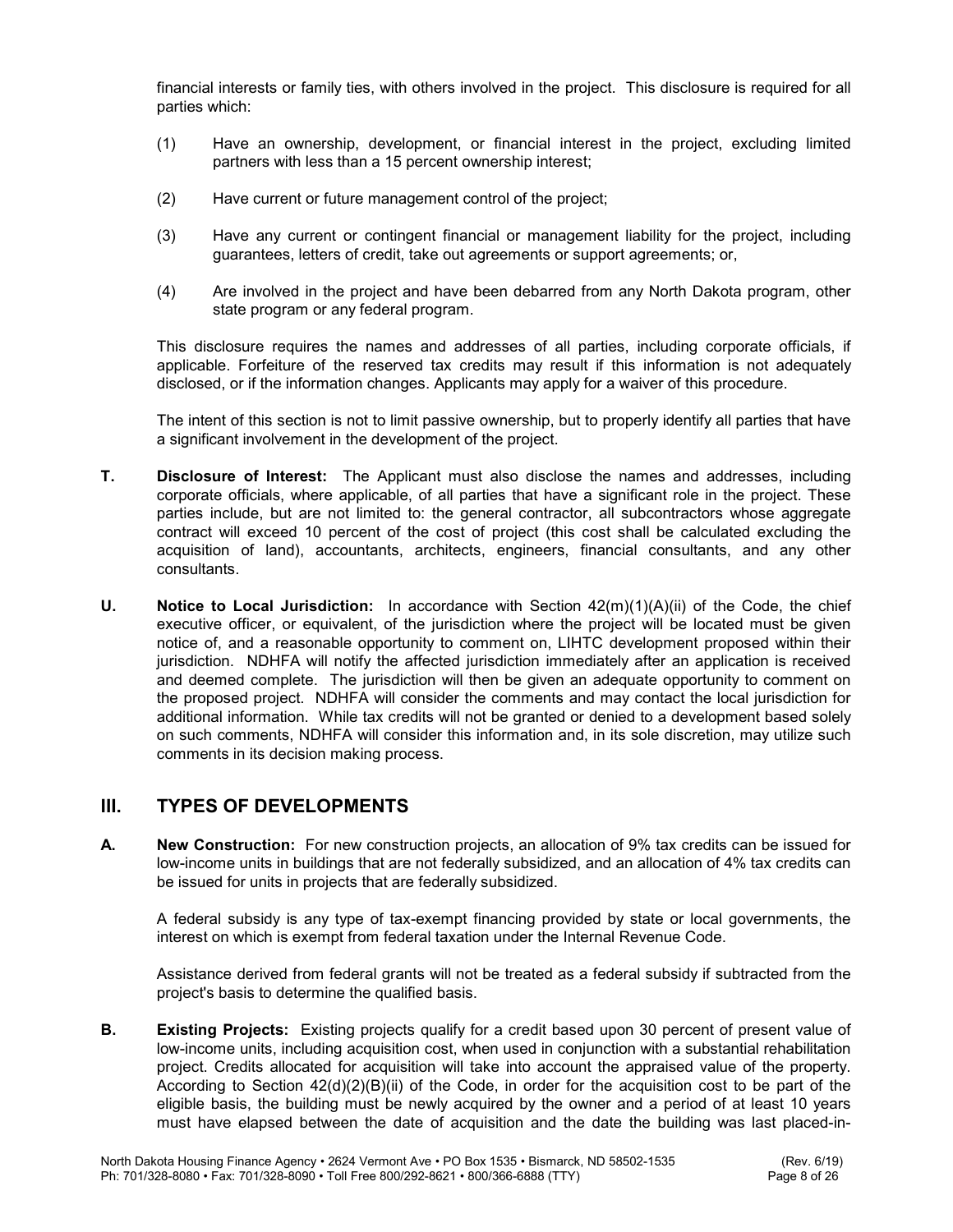financial interests or family ties, with others involved in the project. This disclosure is required for all parties which:

- (1) Have an ownership, development, or financial interest in the project, excluding limited partners with less than a 15 percent ownership interest;
- (2) Have current or future management control of the project;
- (3) Have any current or contingent financial or management liability for the project, including guarantees, letters of credit, take out agreements or support agreements; or,
- (4) Are involved in the project and have been debarred from any North Dakota program, other state program or any federal program.

 This disclosure requires the names and addresses of all parties, including corporate officials, if applicable. Forfeiture of the reserved tax credits may result if this information is not adequately disclosed, or if the information changes. Applicants may apply for a waiver of this procedure.

 The intent of this section is not to limit passive ownership, but to properly identify all parties that have a significant involvement in the development of the project.

- T. Disclosure of Interest: The Applicant must also disclose the names and addresses, including corporate officials, where applicable, of all parties that have a significant role in the project. These parties include, but are not limited to: the general contractor, all subcontractors whose aggregate contract will exceed 10 percent of the cost of project (this cost shall be calculated excluding the acquisition of land), accountants, architects, engineers, financial consultants, and any other consultants.
- **U.** Notice to Local Jurisdiction: In accordance with Section  $42(m)(1)(A)(ii)$  of the Code, the chief executive officer, or equivalent, of the jurisdiction where the project will be located must be given notice of, and a reasonable opportunity to comment on, LIHTC development proposed within their jurisdiction. NDHFA will notify the affected jurisdiction immediately after an application is received and deemed complete. The jurisdiction will then be given an adequate opportunity to comment on the proposed project. NDHFA will consider the comments and may contact the local jurisdiction for additional information. While tax credits will not be granted or denied to a development based solely on such comments, NDHFA will consider this information and, in its sole discretion, may utilize such comments in its decision making process.

# III. TYPES OF DEVELOPMENTS

A. New Construction: For new construction projects, an allocation of 9% tax credits can be issued for low-income units in buildings that are not federally subsidized, and an allocation of 4% tax credits can be issued for units in projects that are federally subsidized.

 A federal subsidy is any type of tax-exempt financing provided by state or local governments, the interest on which is exempt from federal taxation under the Internal Revenue Code.

 Assistance derived from federal grants will not be treated as a federal subsidy if subtracted from the project's basis to determine the qualified basis.

**B.** Existing Projects: Existing projects qualify for a credit based upon 30 percent of present value of low-income units, including acquisition cost, when used in conjunction with a substantial rehabilitation project. Credits allocated for acquisition will take into account the appraised value of the property. According to Section 42(d)(2)(B)(ii) of the Code, in order for the acquisition cost to be part of the eligible basis, the building must be newly acquired by the owner and a period of at least 10 years must have elapsed between the date of acquisition and the date the building was last placed-in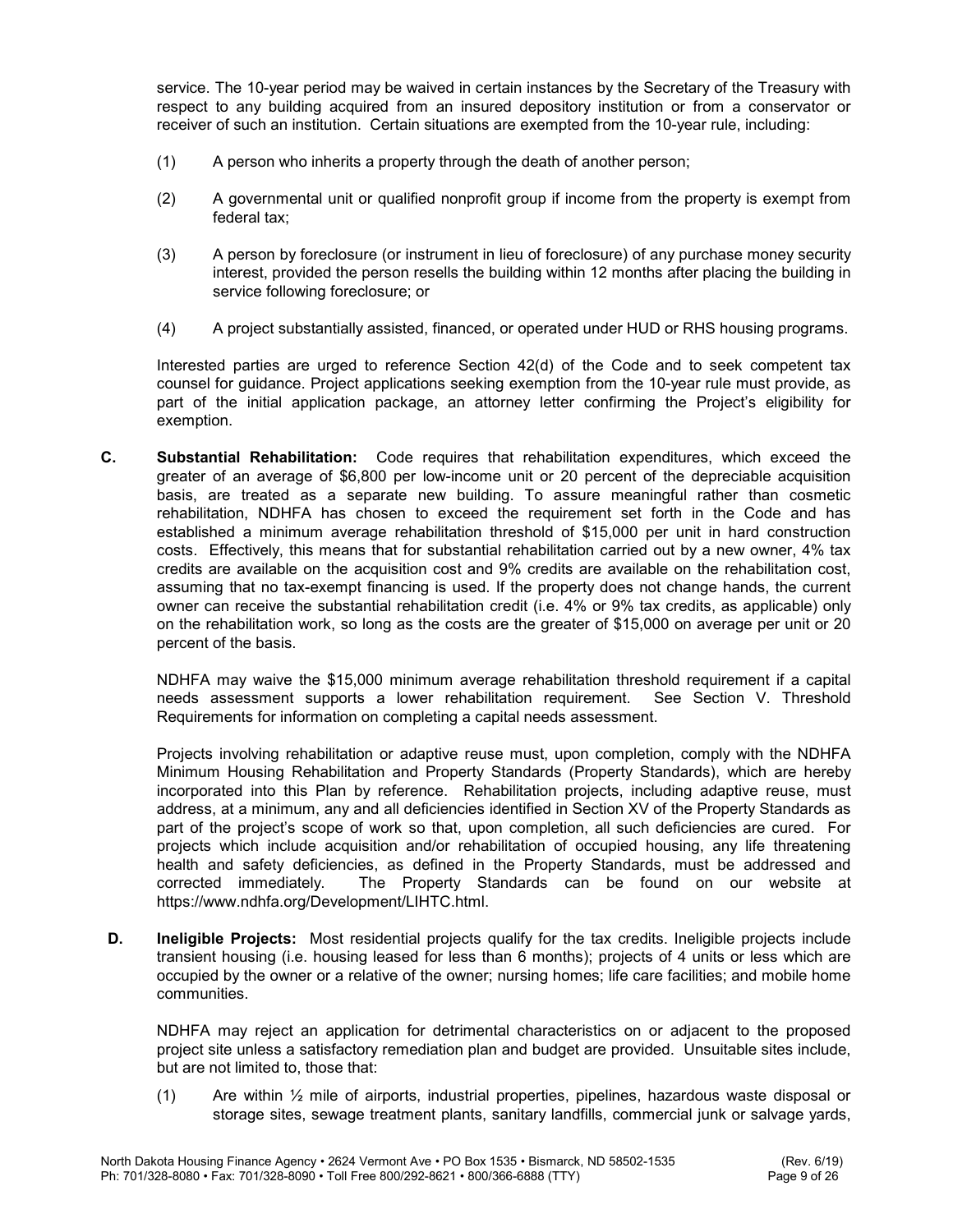service. The 10-year period may be waived in certain instances by the Secretary of the Treasury with respect to any building acquired from an insured depository institution or from a conservator or receiver of such an institution. Certain situations are exempted from the 10-year rule, including:

- (1) A person who inherits a property through the death of another person;
- (2) A governmental unit or qualified nonprofit group if income from the property is exempt from federal tax;
- (3) A person by foreclosure (or instrument in lieu of foreclosure) of any purchase money security interest, provided the person resells the building within 12 months after placing the building in service following foreclosure; or
- (4) A project substantially assisted, financed, or operated under HUD or RHS housing programs.

 Interested parties are urged to reference Section 42(d) of the Code and to seek competent tax counsel for guidance. Project applications seeking exemption from the 10-year rule must provide, as part of the initial application package, an attorney letter confirming the Project's eligibility for exemption.

C. Substantial Rehabilitation: Code requires that rehabilitation expenditures, which exceed the greater of an average of \$6,800 per low-income unit or 20 percent of the depreciable acquisition basis, are treated as a separate new building. To assure meaningful rather than cosmetic rehabilitation, NDHFA has chosen to exceed the requirement set forth in the Code and has established a minimum average rehabilitation threshold of \$15,000 per unit in hard construction costs. Effectively, this means that for substantial rehabilitation carried out by a new owner, 4% tax credits are available on the acquisition cost and 9% credits are available on the rehabilitation cost, assuming that no tax-exempt financing is used. If the property does not change hands, the current owner can receive the substantial rehabilitation credit (i.e. 4% or 9% tax credits, as applicable) only on the rehabilitation work, so long as the costs are the greater of \$15,000 on average per unit or 20 percent of the basis.

NDHFA may waive the \$15,000 minimum average rehabilitation threshold requirement if a capital needs assessment supports a lower rehabilitation requirement. See Section V. Threshold Requirements for information on completing a capital needs assessment.

Projects involving rehabilitation or adaptive reuse must, upon completion, comply with the NDHFA Minimum Housing Rehabilitation and Property Standards (Property Standards), which are hereby incorporated into this Plan by reference. Rehabilitation projects, including adaptive reuse, must address, at a minimum, any and all deficiencies identified in Section XV of the Property Standards as part of the project's scope of work so that, upon completion, all such deficiencies are cured. For projects which include acquisition and/or rehabilitation of occupied housing, any life threatening health and safety deficiencies, as defined in the Property Standards, must be addressed and corrected immediately. The Property Standards can be found on our website at https://www.ndhfa.org/Development/LIHTC.html.

D. Ineligible Projects: Most residential projects qualify for the tax credits. Ineligible projects include transient housing (i.e. housing leased for less than 6 months); projects of 4 units or less which are occupied by the owner or a relative of the owner; nursing homes; life care facilities; and mobile home communities.

NDHFA may reject an application for detrimental characteristics on or adjacent to the proposed project site unless a satisfactory remediation plan and budget are provided. Unsuitable sites include, but are not limited to, those that:

(1) Are within ½ mile of airports, industrial properties, pipelines, hazardous waste disposal or storage sites, sewage treatment plants, sanitary landfills, commercial junk or salvage yards,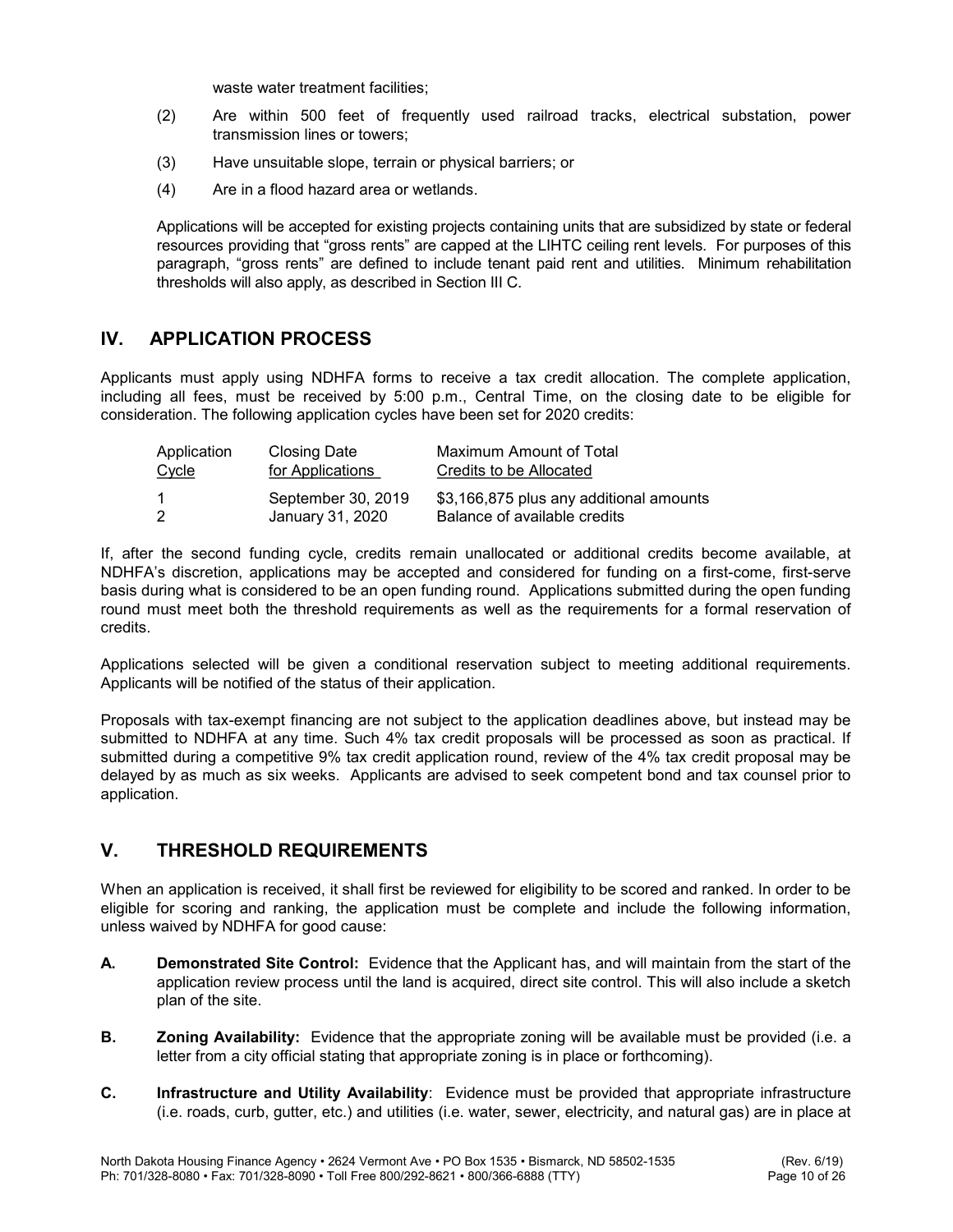waste water treatment facilities;

- (2) Are within 500 feet of frequently used railroad tracks, electrical substation, power transmission lines or towers;
- (3) Have unsuitable slope, terrain or physical barriers; or
- (4) Are in a flood hazard area or wetlands.

 Applications will be accepted for existing projects containing units that are subsidized by state or federal resources providing that "gross rents" are capped at the LIHTC ceiling rent levels. For purposes of this paragraph, "gross rents" are defined to include tenant paid rent and utilities. Minimum rehabilitation thresholds will also apply, as described in Section III C.

# IV. APPLICATION PROCESS

Applicants must apply using NDHFA forms to receive a tax credit allocation. The complete application, including all fees, must be received by 5:00 p.m., Central Time, on the closing date to be eligible for consideration. The following application cycles have been set for 2020 credits:

| Application | <b>Closing Date</b>                    | Maximum Amount of Total                                                 |
|-------------|----------------------------------------|-------------------------------------------------------------------------|
| Cycle       | for Applications                       | Credits to be Allocated                                                 |
|             | September 30, 2019<br>January 31, 2020 | \$3,166,875 plus any additional amounts<br>Balance of available credits |

If, after the second funding cycle, credits remain unallocated or additional credits become available, at NDHFA's discretion, applications may be accepted and considered for funding on a first-come, first-serve basis during what is considered to be an open funding round. Applications submitted during the open funding round must meet both the threshold requirements as well as the requirements for a formal reservation of credits.

Applications selected will be given a conditional reservation subject to meeting additional requirements. Applicants will be notified of the status of their application.

Proposals with tax-exempt financing are not subject to the application deadlines above, but instead may be submitted to NDHFA at any time. Such 4% tax credit proposals will be processed as soon as practical. If submitted during a competitive 9% tax credit application round, review of the 4% tax credit proposal may be delayed by as much as six weeks. Applicants are advised to seek competent bond and tax counsel prior to application.

# V. THRESHOLD REQUIREMENTS

When an application is received, it shall first be reviewed for eligibility to be scored and ranked. In order to be eligible for scoring and ranking, the application must be complete and include the following information, unless waived by NDHFA for good cause:

- A. Demonstrated Site Control: Evidence that the Applicant has, and will maintain from the start of the application review process until the land is acquired, direct site control. This will also include a sketch plan of the site.
- **B. Zoning Availability:** Evidence that the appropriate zoning will be available must be provided (i.e. a letter from a city official stating that appropriate zoning is in place or forthcoming).
- C. Infrastructure and Utility Availability: Evidence must be provided that appropriate infrastructure (i.e. roads, curb, gutter, etc.) and utilities (i.e. water, sewer, electricity, and natural gas) are in place at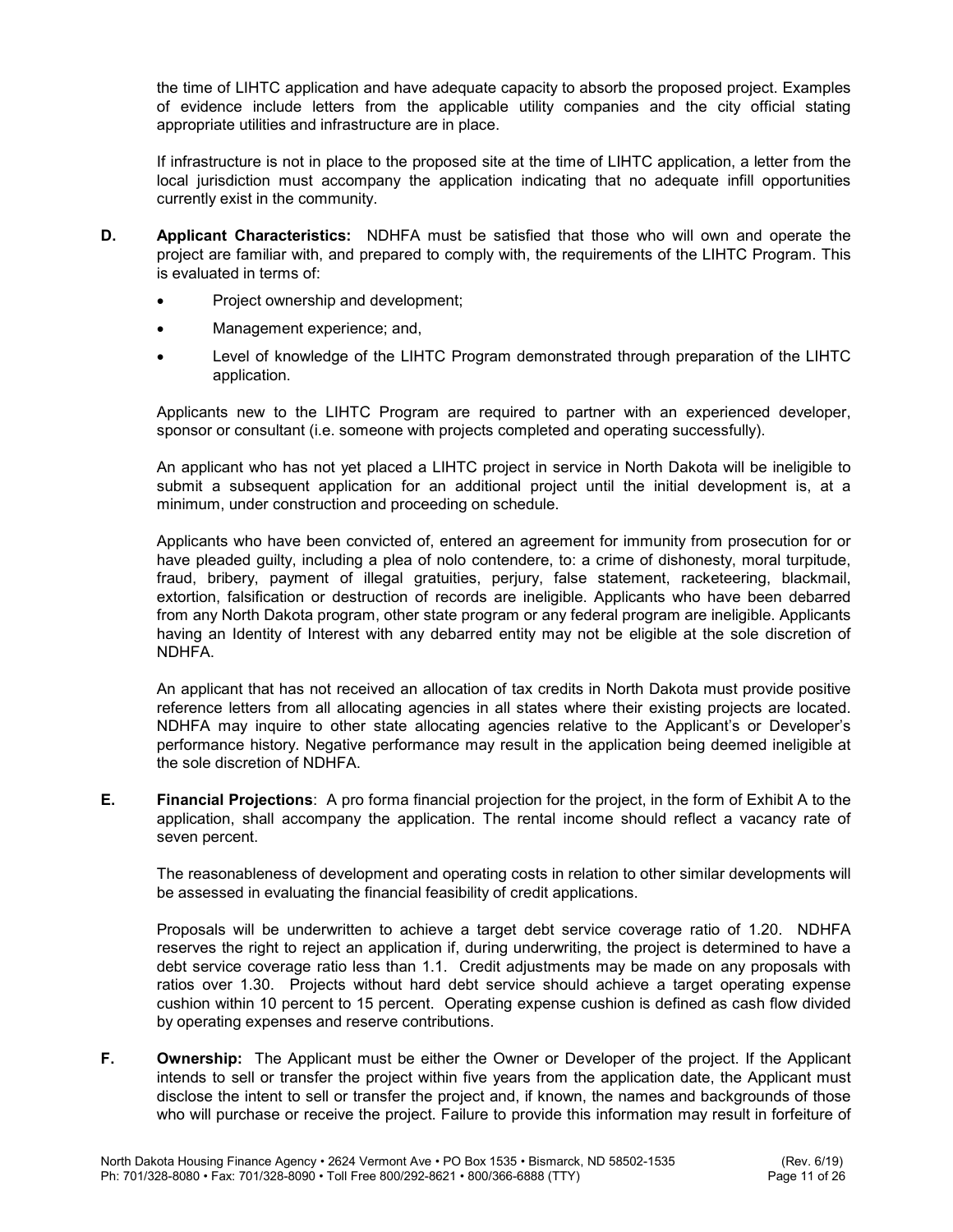the time of LIHTC application and have adequate capacity to absorb the proposed project. Examples of evidence include letters from the applicable utility companies and the city official stating appropriate utilities and infrastructure are in place.

If infrastructure is not in place to the proposed site at the time of LIHTC application, a letter from the local jurisdiction must accompany the application indicating that no adequate infill opportunities currently exist in the community.

- **D.** Applicant Characteristics: NDHFA must be satisfied that those who will own and operate the project are familiar with, and prepared to comply with, the requirements of the LIHTC Program. This is evaluated in terms of:
	- Project ownership and development;
	- Management experience; and,
	- Level of knowledge of the LIHTC Program demonstrated through preparation of the LIHTC application.

Applicants new to the LIHTC Program are required to partner with an experienced developer, sponsor or consultant (i.e. someone with projects completed and operating successfully).

 An applicant who has not yet placed a LIHTC project in service in North Dakota will be ineligible to submit a subsequent application for an additional project until the initial development is, at a minimum, under construction and proceeding on schedule.

 Applicants who have been convicted of, entered an agreement for immunity from prosecution for or have pleaded guilty, including a plea of nolo contendere, to: a crime of dishonesty, moral turpitude, fraud, bribery, payment of illegal gratuities, perjury, false statement, racketeering, blackmail, extortion, falsification or destruction of records are ineligible. Applicants who have been debarred from any North Dakota program, other state program or any federal program are ineligible. Applicants having an Identity of Interest with any debarred entity may not be eligible at the sole discretion of NDHFA.

 An applicant that has not received an allocation of tax credits in North Dakota must provide positive reference letters from all allocating agencies in all states where their existing projects are located. NDHFA may inquire to other state allocating agencies relative to the Applicant's or Developer's performance history. Negative performance may result in the application being deemed ineligible at the sole discretion of NDHFA.

E. Financial Projections: A pro forma financial projection for the project, in the form of Exhibit A to the application, shall accompany the application. The rental income should reflect a vacancy rate of seven percent.

 The reasonableness of development and operating costs in relation to other similar developments will be assessed in evaluating the financial feasibility of credit applications.

Proposals will be underwritten to achieve a target debt service coverage ratio of 1.20. NDHFA reserves the right to reject an application if, during underwriting, the project is determined to have a debt service coverage ratio less than 1.1. Credit adjustments may be made on any proposals with ratios over 1.30. Projects without hard debt service should achieve a target operating expense cushion within 10 percent to 15 percent. Operating expense cushion is defined as cash flow divided by operating expenses and reserve contributions.

F. Ownership: The Applicant must be either the Owner or Developer of the project. If the Applicant intends to sell or transfer the project within five years from the application date, the Applicant must disclose the intent to sell or transfer the project and, if known, the names and backgrounds of those who will purchase or receive the project. Failure to provide this information may result in forfeiture of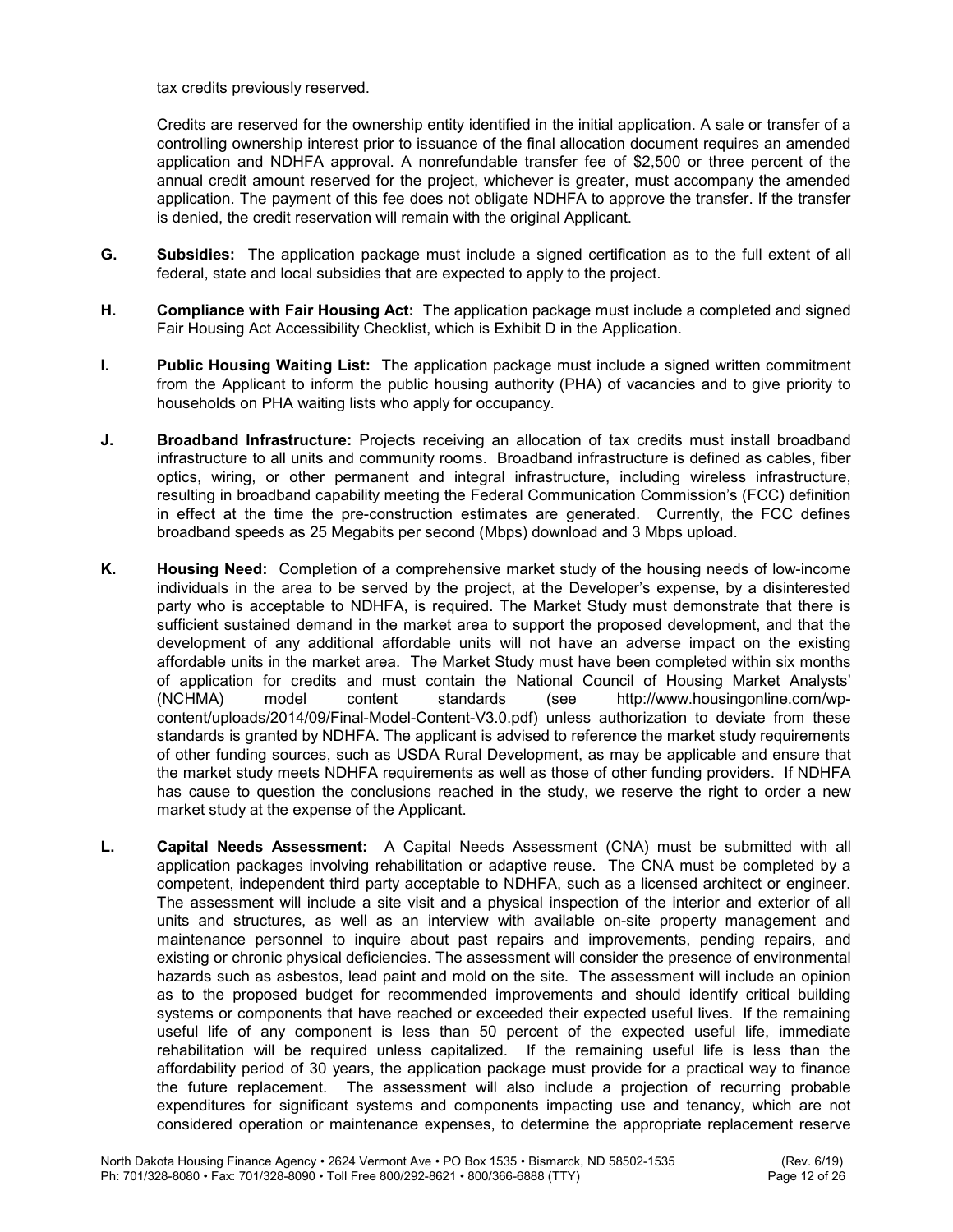tax credits previously reserved.

 Credits are reserved for the ownership entity identified in the initial application. A sale or transfer of a controlling ownership interest prior to issuance of the final allocation document requires an amended application and NDHFA approval. A nonrefundable transfer fee of \$2,500 or three percent of the annual credit amount reserved for the project, whichever is greater, must accompany the amended application. The payment of this fee does not obligate NDHFA to approve the transfer. If the transfer is denied, the credit reservation will remain with the original Applicant.

- G. Subsidies: The application package must include a signed certification as to the full extent of all federal, state and local subsidies that are expected to apply to the project.
- H. Compliance with Fair Housing Act: The application package must include a completed and signed Fair Housing Act Accessibility Checklist, which is Exhibit D in the Application.
- I. Public Housing Waiting List: The application package must include a signed written commitment from the Applicant to inform the public housing authority (PHA) of vacancies and to give priority to households on PHA waiting lists who apply for occupancy.
- **J.** Broadband Infrastructure: Projects receiving an allocation of tax credits must install broadband infrastructure to all units and community rooms. Broadband infrastructure is defined as cables, fiber optics, wiring, or other permanent and integral infrastructure, including wireless infrastructure, resulting in broadband capability meeting the Federal Communication Commission's (FCC) definition in effect at the time the pre-construction estimates are generated. Currently, the FCC defines broadband speeds as 25 Megabits per second (Mbps) download and 3 Mbps upload.
- K. Housing Need: Completion of a comprehensive market study of the housing needs of low-income individuals in the area to be served by the project, at the Developer's expense, by a disinterested party who is acceptable to NDHFA, is required. The Market Study must demonstrate that there is sufficient sustained demand in the market area to support the proposed development, and that the development of any additional affordable units will not have an adverse impact on the existing affordable units in the market area. The Market Study must have been completed within six months of application for credits and must contain the National Council of Housing Market Analysts' (NCHMA) model content standards (see http://www.housingonline.com/wpcontent/uploads/2014/09/Final-Model-Content-V3.0.pdf) unless authorization to deviate from these standards is granted by NDHFA. The applicant is advised to reference the market study requirements of other funding sources, such as USDA Rural Development, as may be applicable and ensure that the market study meets NDHFA requirements as well as those of other funding providers. If NDHFA has cause to question the conclusions reached in the study, we reserve the right to order a new market study at the expense of the Applicant.
- L. Capital Needs Assessment: A Capital Needs Assessment (CNA) must be submitted with all application packages involving rehabilitation or adaptive reuse. The CNA must be completed by a competent, independent third party acceptable to NDHFA, such as a licensed architect or engineer. The assessment will include a site visit and a physical inspection of the interior and exterior of all units and structures, as well as an interview with available on-site property management and maintenance personnel to inquire about past repairs and improvements, pending repairs, and existing or chronic physical deficiencies. The assessment will consider the presence of environmental hazards such as asbestos, lead paint and mold on the site. The assessment will include an opinion as to the proposed budget for recommended improvements and should identify critical building systems or components that have reached or exceeded their expected useful lives. If the remaining useful life of any component is less than 50 percent of the expected useful life, immediate rehabilitation will be required unless capitalized. If the remaining useful life is less than the affordability period of 30 years, the application package must provide for a practical way to finance the future replacement. The assessment will also include a projection of recurring probable expenditures for significant systems and components impacting use and tenancy, which are not considered operation or maintenance expenses, to determine the appropriate replacement reserve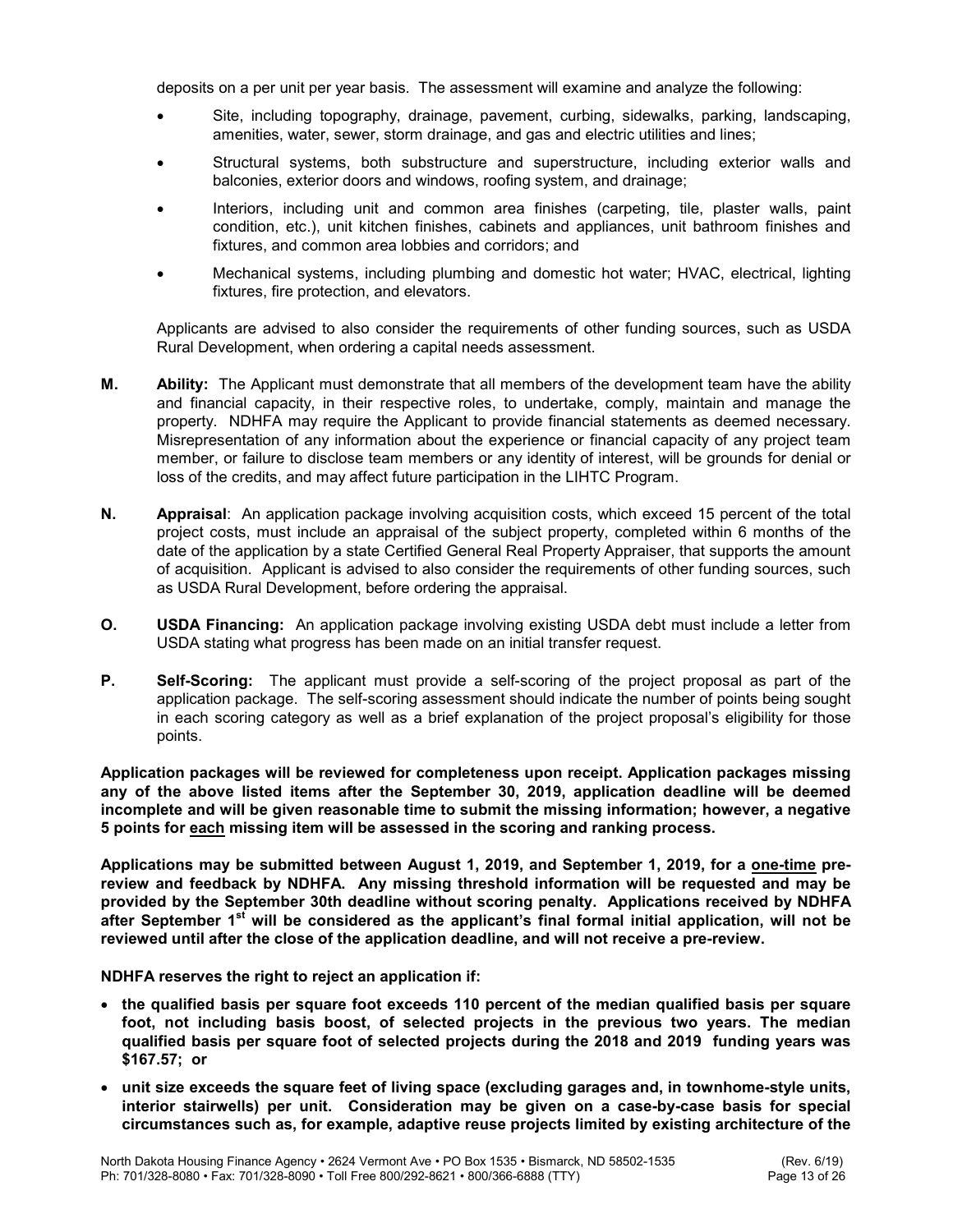deposits on a per unit per year basis. The assessment will examine and analyze the following:

- Site, including topography, drainage, pavement, curbing, sidewalks, parking, landscaping, amenities, water, sewer, storm drainage, and gas and electric utilities and lines;
- Structural systems, both substructure and superstructure, including exterior walls and balconies, exterior doors and windows, roofing system, and drainage;
- Interiors, including unit and common area finishes (carpeting, tile, plaster walls, paint condition, etc.), unit kitchen finishes, cabinets and appliances, unit bathroom finishes and fixtures, and common area lobbies and corridors; and
- Mechanical systems, including plumbing and domestic hot water; HVAC, electrical, lighting fixtures, fire protection, and elevators.

Applicants are advised to also consider the requirements of other funding sources, such as USDA Rural Development, when ordering a capital needs assessment.

- M. Ability: The Applicant must demonstrate that all members of the development team have the ability and financial capacity, in their respective roles, to undertake, comply, maintain and manage the property. NDHFA may require the Applicant to provide financial statements as deemed necessary. Misrepresentation of any information about the experience or financial capacity of any project team member, or failure to disclose team members or any identity of interest, will be grounds for denial or loss of the credits, and may affect future participation in the LIHTC Program.
- N. Appraisal: An application package involving acquisition costs, which exceed 15 percent of the total project costs, must include an appraisal of the subject property, completed within 6 months of the date of the application by a state Certified General Real Property Appraiser, that supports the amount of acquisition. Applicant is advised to also consider the requirements of other funding sources, such as USDA Rural Development, before ordering the appraisal.
- O. USDA Financing: An application package involving existing USDA debt must include a letter from USDA stating what progress has been made on an initial transfer request.
- **P.** Self-Scoring: The applicant must provide a self-scoring of the project proposal as part of the application package. The self-scoring assessment should indicate the number of points being sought in each scoring category as well as a brief explanation of the project proposal's eligibility for those points.

Application packages will be reviewed for completeness upon receipt. Application packages missing any of the above listed items after the September 30, 2019, application deadline will be deemed incomplete and will be given reasonable time to submit the missing information; however, a negative 5 points for each missing item will be assessed in the scoring and ranking process.

Applications may be submitted between August 1, 2019, and September 1, 2019, for a one-time prereview and feedback by NDHFA. Any missing threshold information will be requested and may be provided by the September 30th deadline without scoring penalty. Applications received by NDHFA after September  $1<sup>st</sup>$  will be considered as the applicant's final formal initial application, will not be reviewed until after the close of the application deadline, and will not receive a pre-review.

NDHFA reserves the right to reject an application if:

- the qualified basis per square foot exceeds 110 percent of the median qualified basis per square foot, not including basis boost, of selected projects in the previous two years. The median qualified basis per square foot of selected projects during the 2018 and 2019 funding years was \$167.57; or
- unit size exceeds the square feet of living space (excluding garages and, in townhome-style units, interior stairwells) per unit. Consideration may be given on a case-by-case basis for special circumstances such as, for example, adaptive reuse projects limited by existing architecture of the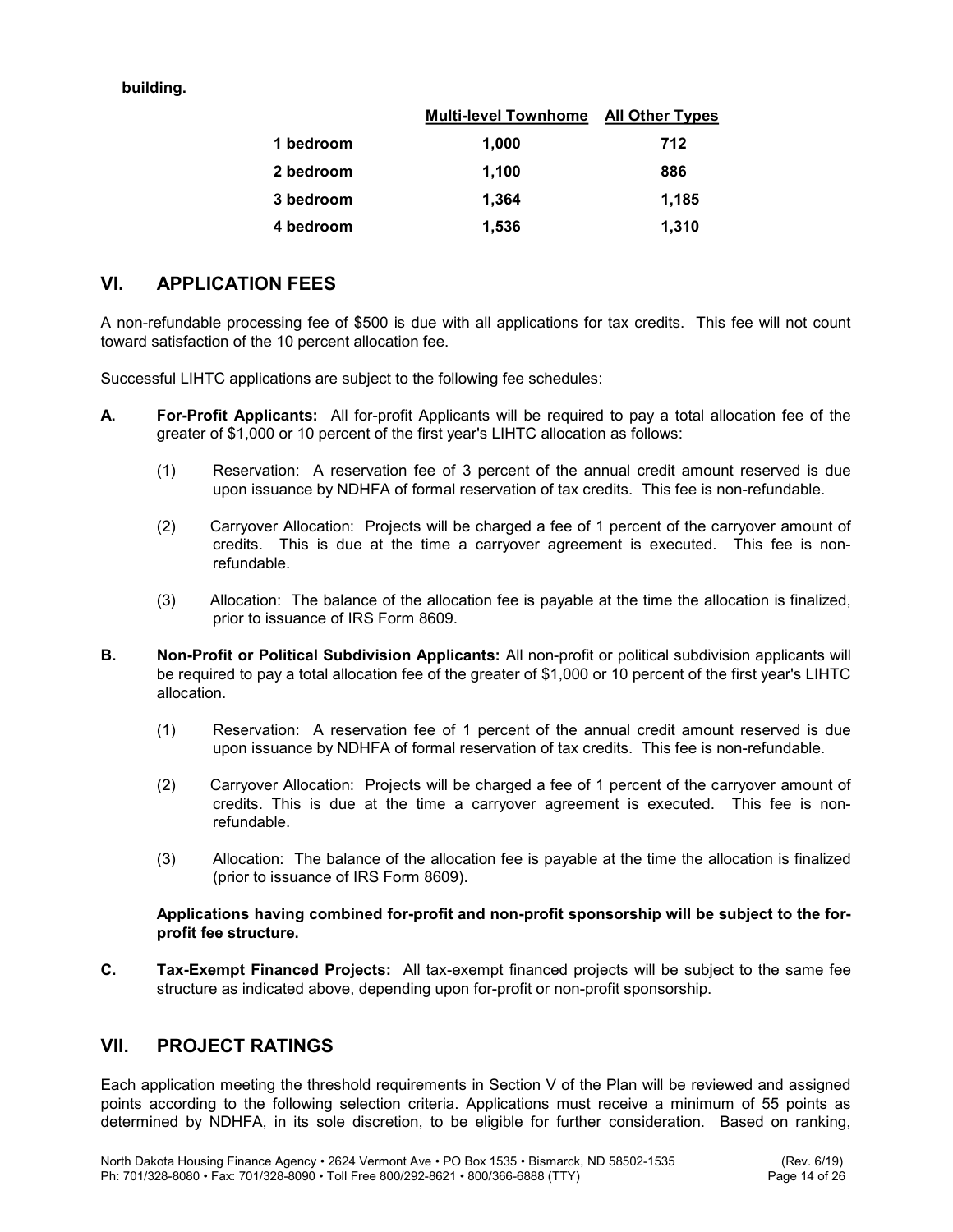building.

|           | <b>Multi-level Townhome</b> | <b>All Other Types</b> |
|-----------|-----------------------------|------------------------|
| 1 bedroom | 1,000                       | 712                    |
| 2 bedroom | 1,100                       | 886                    |
| 3 bedroom | 1,364                       | 1,185                  |
| 4 bedroom | 1,536                       | 1,310                  |

# VI. APPLICATION FEES

A non-refundable processing fee of \$500 is due with all applications for tax credits. This fee will not count toward satisfaction of the 10 percent allocation fee.

Successful LIHTC applications are subject to the following fee schedules:

- A. For-Profit Applicants: All for-profit Applicants will be required to pay a total allocation fee of the greater of \$1,000 or 10 percent of the first year's LIHTC allocation as follows:
	- (1) Reservation: A reservation fee of 3 percent of the annual credit amount reserved is due upon issuance by NDHFA of formal reservation of tax credits. This fee is non-refundable.
	- (2) Carryover Allocation: Projects will be charged a fee of 1 percent of the carryover amount of credits. This is due at the time a carryover agreement is executed. This fee is nonrefundable.
	- (3) Allocation: The balance of the allocation fee is payable at the time the allocation is finalized, prior to issuance of IRS Form 8609.
- B. Non-Profit or Political Subdivision Applicants: All non-profit or political subdivision applicants will be required to pay a total allocation fee of the greater of \$1,000 or 10 percent of the first year's LIHTC allocation.
	- (1) Reservation: A reservation fee of 1 percent of the annual credit amount reserved is due upon issuance by NDHFA of formal reservation of tax credits. This fee is non-refundable.
	- (2) Carryover Allocation: Projects will be charged a fee of 1 percent of the carryover amount of credits. This is due at the time a carryover agreement is executed. This fee is nonrefundable.
	- (3) Allocation: The balance of the allocation fee is payable at the time the allocation is finalized (prior to issuance of IRS Form 8609).

#### Applications having combined for-profit and non-profit sponsorship will be subject to the forprofit fee structure.

C. Tax-Exempt Financed Projects: All tax-exempt financed projects will be subject to the same fee structure as indicated above, depending upon for-profit or non-profit sponsorship.

# VII. PROJECT RATINGS

Each application meeting the threshold requirements in Section V of the Plan will be reviewed and assigned points according to the following selection criteria. Applications must receive a minimum of 55 points as determined by NDHFA, in its sole discretion, to be eligible for further consideration. Based on ranking,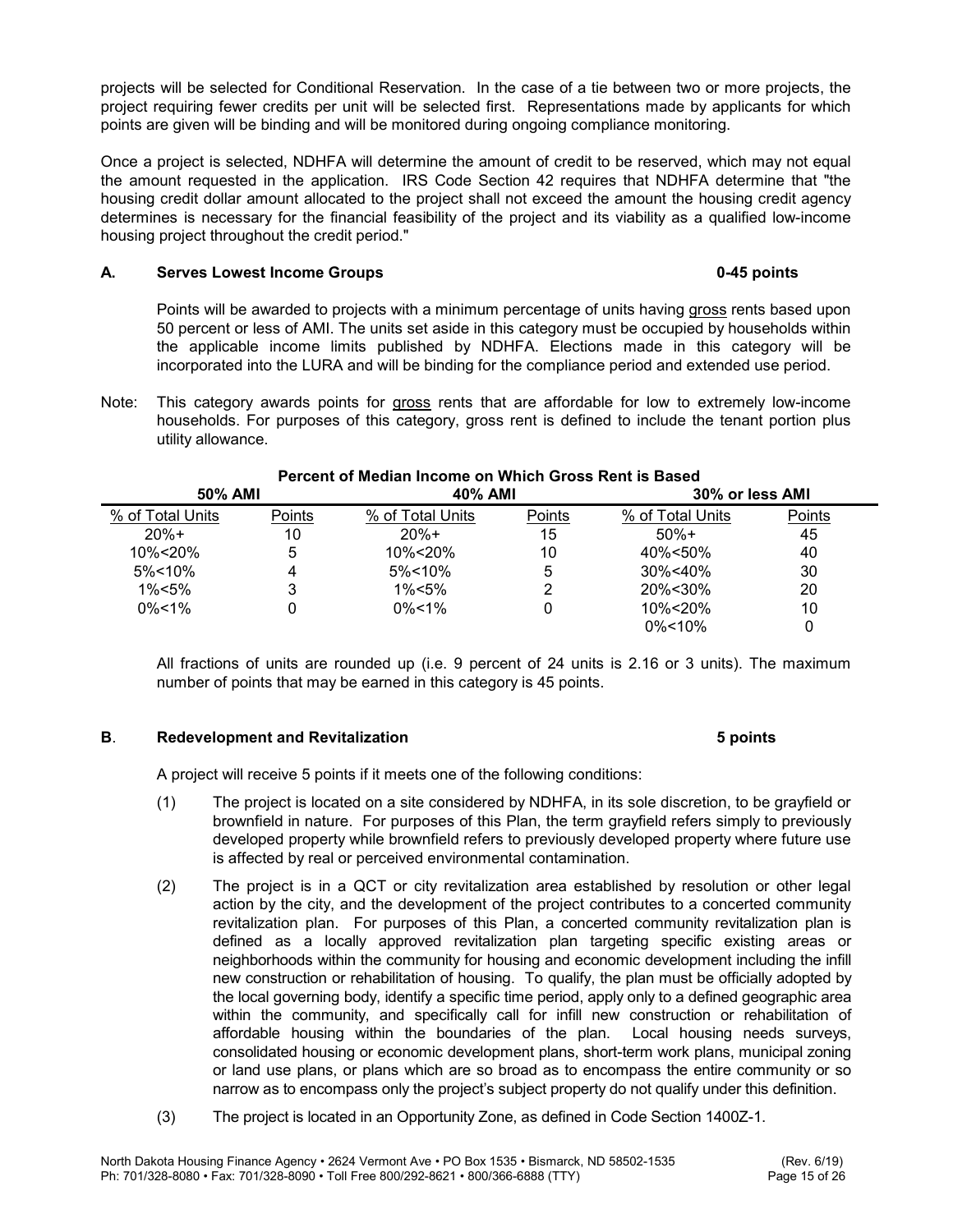projects will be selected for Conditional Reservation. In the case of a tie between two or more projects, the project requiring fewer credits per unit will be selected first. Representations made by applicants for which points are given will be binding and will be monitored during ongoing compliance monitoring.

Once a project is selected, NDHFA will determine the amount of credit to be reserved, which may not equal the amount requested in the application. IRS Code Section 42 requires that NDHFA determine that "the housing credit dollar amount allocated to the project shall not exceed the amount the housing credit agency determines is necessary for the financial feasibility of the project and its viability as a qualified low-income housing project throughout the credit period."

### A. Serves Lowest Income Groups **Community** Community Community Community Community Community Community Community

 Points will be awarded to projects with a minimum percentage of units having gross rents based upon 50 percent or less of AMI. The units set aside in this category must be occupied by households within the applicable income limits published by NDHFA. Elections made in this category will be incorporated into the LURA and will be binding for the compliance period and extended use period.

Note: This category awards points for gross rents that are affordable for low to extremely low-income households. For purposes of this category, gross rent is defined to include the tenant portion plus utility allowance.

| i citchii yi mculdii mtumic uli Willuli Qituaa Itomi la Duacu |        |                  |        |                  |        |  |
|---------------------------------------------------------------|--------|------------------|--------|------------------|--------|--|
| 50% AMI                                                       |        | 40% AMI          |        | 30% or less AMI  |        |  |
| % of Total Units                                              | Points | % of Total Units | Points | % of Total Units | Points |  |
| $20%+$                                                        | 10     | $20%+$           | 15     | $50%+$           | 45     |  |
| 10%<20%                                                       | 5      | 10%<20%          | 10     | 40%<50%          | 40     |  |
| $5\% < 10\%$                                                  |        | $5\%$ < 10%      |        | 30%<40%          | 30     |  |
| $1\% < 5\%$                                                   | 3      | 1%<5%            |        | 20%<30%          | 20     |  |
| $0\% < 1\%$                                                   |        | $0\% < 1\%$      |        | 10%<20%          | 10     |  |
|                                                               |        |                  |        | $0\%$ < 10%      |        |  |

# Percent of Median Income on Which Gross Rent is Based

 All fractions of units are rounded up (i.e. 9 percent of 24 units is 2.16 or 3 units). The maximum number of points that may be earned in this category is 45 points.

### B. Redevelopment and Revitalization 6 points 5 points

A project will receive 5 points if it meets one of the following conditions:

- (1) The project is located on a site considered by NDHFA, in its sole discretion, to be grayfield or brownfield in nature. For purposes of this Plan, the term grayfield refers simply to previously developed property while brownfield refers to previously developed property where future use is affected by real or perceived environmental contamination.
- (2) The project is in a QCT or city revitalization area established by resolution or other legal action by the city, and the development of the project contributes to a concerted community revitalization plan. For purposes of this Plan, a concerted community revitalization plan is defined as a locally approved revitalization plan targeting specific existing areas or neighborhoods within the community for housing and economic development including the infill new construction or rehabilitation of housing. To qualify, the plan must be officially adopted by the local governing body, identify a specific time period, apply only to a defined geographic area within the community, and specifically call for infill new construction or rehabilitation of affordable housing within the boundaries of the plan. Local housing needs surveys, consolidated housing or economic development plans, short-term work plans, municipal zoning or land use plans, or plans which are so broad as to encompass the entire community or so narrow as to encompass only the project's subject property do not qualify under this definition.
- (3) The project is located in an Opportunity Zone, as defined in Code Section 1400Z-1.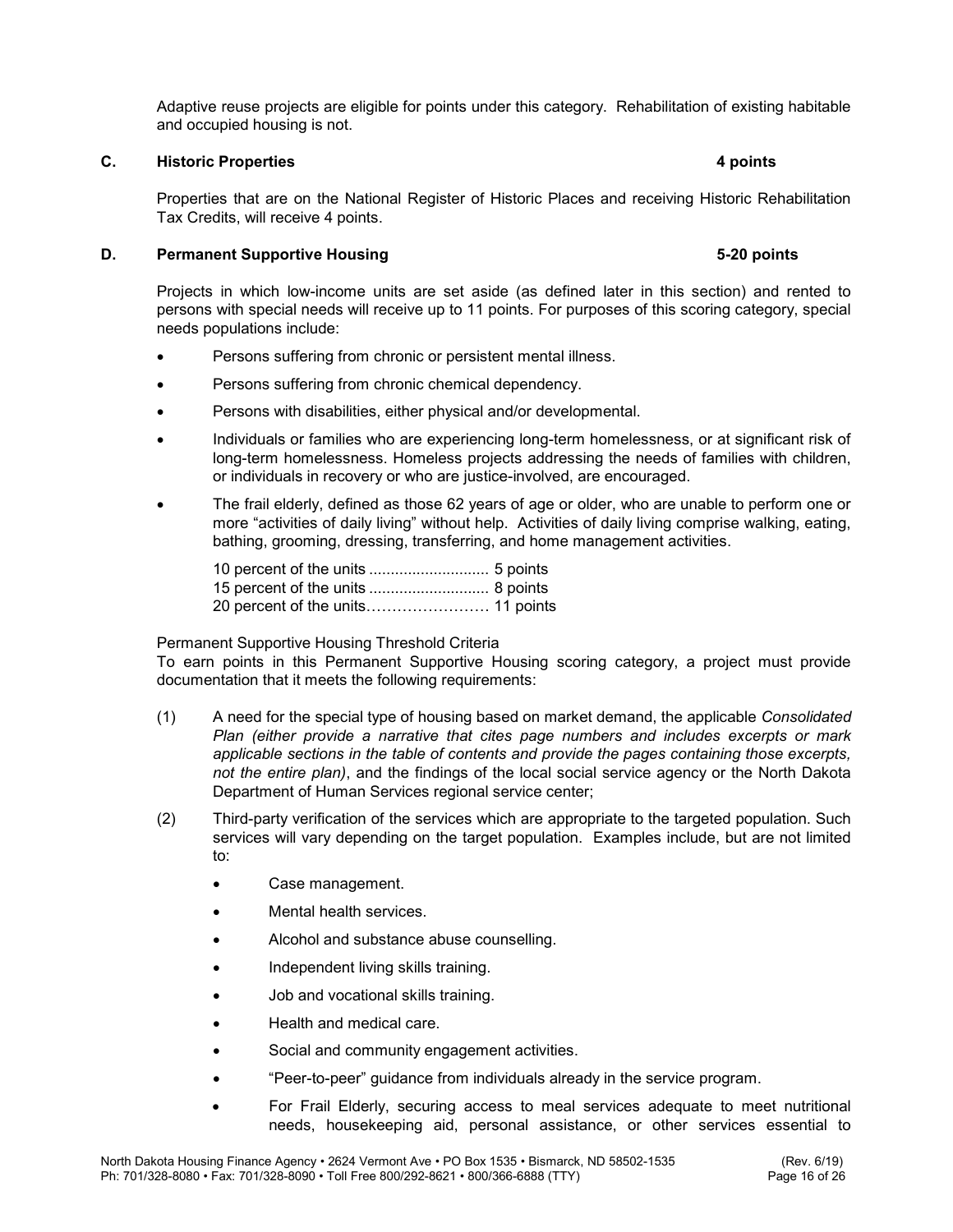Adaptive reuse projects are eligible for points under this category. Rehabilitation of existing habitable and occupied housing is not.

#### C. Historic Properties 4 points

# Properties that are on the National Register of Historic Places and receiving Historic Rehabilitation

Tax Credits, will receive 4 points.

### D. Permanent Supportive Housing 5-20 points 5-20 points

 Projects in which low-income units are set aside (as defined later in this section) and rented to persons with special needs will receive up to 11 points. For purposes of this scoring category, special needs populations include:

- Persons suffering from chronic or persistent mental illness.
- **•** Persons suffering from chronic chemical dependency.
- Persons with disabilities, either physical and/or developmental.
- Individuals or families who are experiencing long-term homelessness, or at significant risk of long-term homelessness. Homeless projects addressing the needs of families with children, or individuals in recovery or who are justice-involved, are encouraged.
- The frail elderly, defined as those 62 years of age or older, who are unable to perform one or more "activities of daily living" without help. Activities of daily living comprise walking, eating, bathing, grooming, dressing, transferring, and home management activities.

### Permanent Supportive Housing Threshold Criteria

 To earn points in this Permanent Supportive Housing scoring category, a project must provide documentation that it meets the following requirements:

- (1) A need for the special type of housing based on market demand, the applicable Consolidated Plan (either provide a narrative that cites page numbers and includes excerpts or mark applicable sections in the table of contents and provide the pages containing those excerpts, not the entire plan), and the findings of the local social service agency or the North Dakota Department of Human Services regional service center;
- (2) Third-party verification of the services which are appropriate to the targeted population. Such services will vary depending on the target population. Examples include, but are not limited to:
	- Case management.
	- Mental health services.
	- Alcohol and substance abuse counselling.
	- Independent living skills training.
	- Job and vocational skills training.
	- Health and medical care.
	- Social and community engagement activities.
	- "Peer-to-peer" guidance from individuals already in the service program.
	- For Frail Elderly, securing access to meal services adequate to meet nutritional needs, housekeeping aid, personal assistance, or other services essential to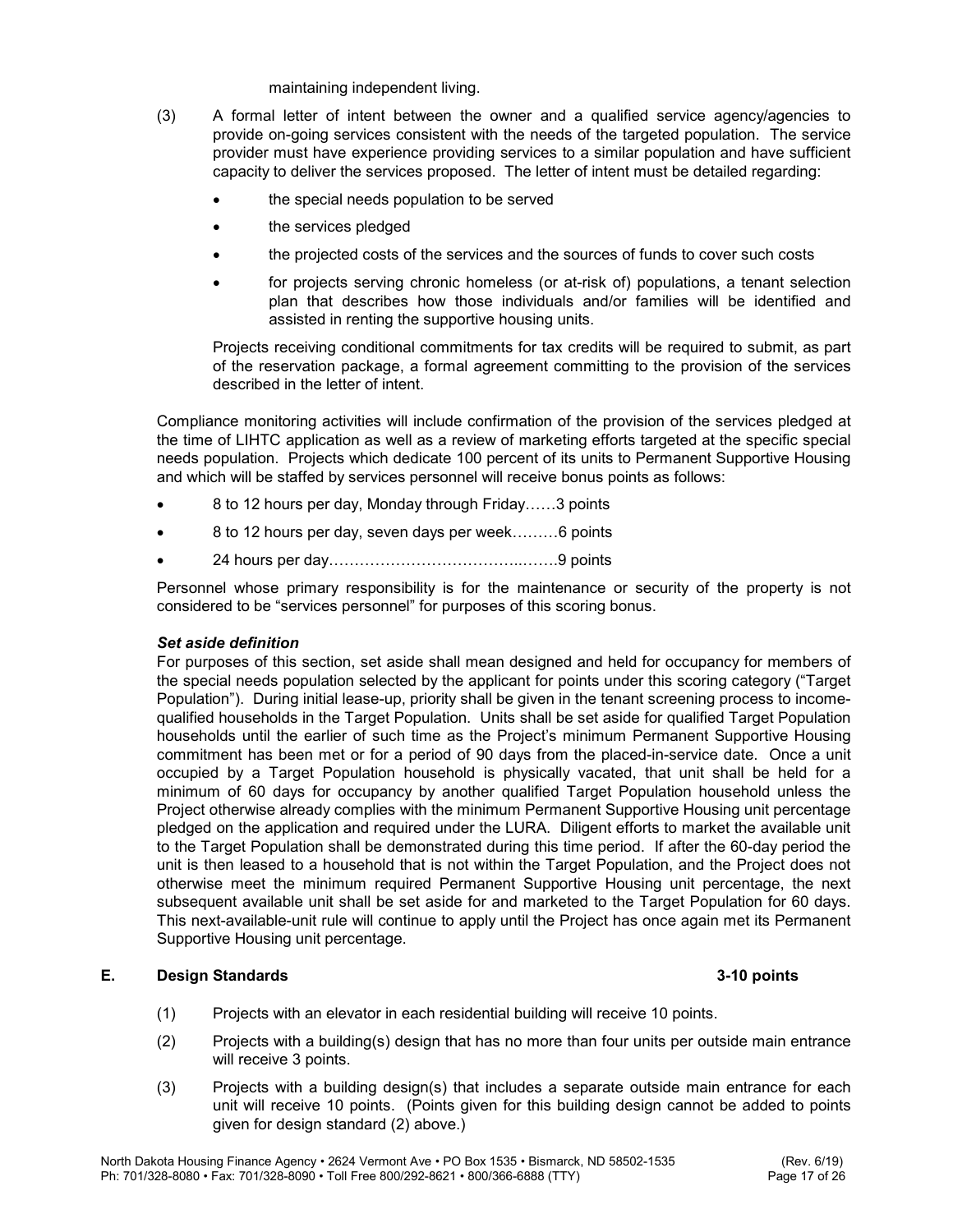#### maintaining independent living.

- (3) A formal letter of intent between the owner and a qualified service agency/agencies to provide on-going services consistent with the needs of the targeted population. The service provider must have experience providing services to a similar population and have sufficient capacity to deliver the services proposed. The letter of intent must be detailed regarding:
	- the special needs population to be served
	- the services pledged
	- the projected costs of the services and the sources of funds to cover such costs
	- for projects serving chronic homeless (or at-risk of) populations, a tenant selection plan that describes how those individuals and/or families will be identified and assisted in renting the supportive housing units.

Projects receiving conditional commitments for tax credits will be required to submit, as part of the reservation package, a formal agreement committing to the provision of the services described in the letter of intent.

 Compliance monitoring activities will include confirmation of the provision of the services pledged at the time of LIHTC application as well as a review of marketing efforts targeted at the specific special needs population. Projects which dedicate 100 percent of its units to Permanent Supportive Housing and which will be staffed by services personnel will receive bonus points as follows:

- 8 to 12 hours per day, Monday through Friday……3 points
- 8 to 12 hours per day, seven days per week………6 points
- 24 hours per day………………………………..…….9 points

Personnel whose primary responsibility is for the maintenance or security of the property is not considered to be "services personnel" for purposes of this scoring bonus.

#### Set aside definition

For purposes of this section, set aside shall mean designed and held for occupancy for members of the special needs population selected by the applicant for points under this scoring category ("Target Population"). During initial lease-up, priority shall be given in the tenant screening process to incomequalified households in the Target Population. Units shall be set aside for qualified Target Population households until the earlier of such time as the Project's minimum Permanent Supportive Housing commitment has been met or for a period of 90 days from the placed-in-service date. Once a unit occupied by a Target Population household is physically vacated, that unit shall be held for a minimum of 60 days for occupancy by another qualified Target Population household unless the Project otherwise already complies with the minimum Permanent Supportive Housing unit percentage pledged on the application and required under the LURA. Diligent efforts to market the available unit to the Target Population shall be demonstrated during this time period. If after the 60-day period the unit is then leased to a household that is not within the Target Population, and the Project does not otherwise meet the minimum required Permanent Supportive Housing unit percentage, the next subsequent available unit shall be set aside for and marketed to the Target Population for 60 days. This next-available-unit rule will continue to apply until the Project has once again met its Permanent Supportive Housing unit percentage.

### E. Design Standards 3-10 points 3-10 points

- (1) Projects with an elevator in each residential building will receive 10 points.
- (2) Projects with a building(s) design that has no more than four units per outside main entrance will receive 3 points.
- (3) Projects with a building design(s) that includes a separate outside main entrance for each unit will receive 10 points. (Points given for this building design cannot be added to points given for design standard (2) above.)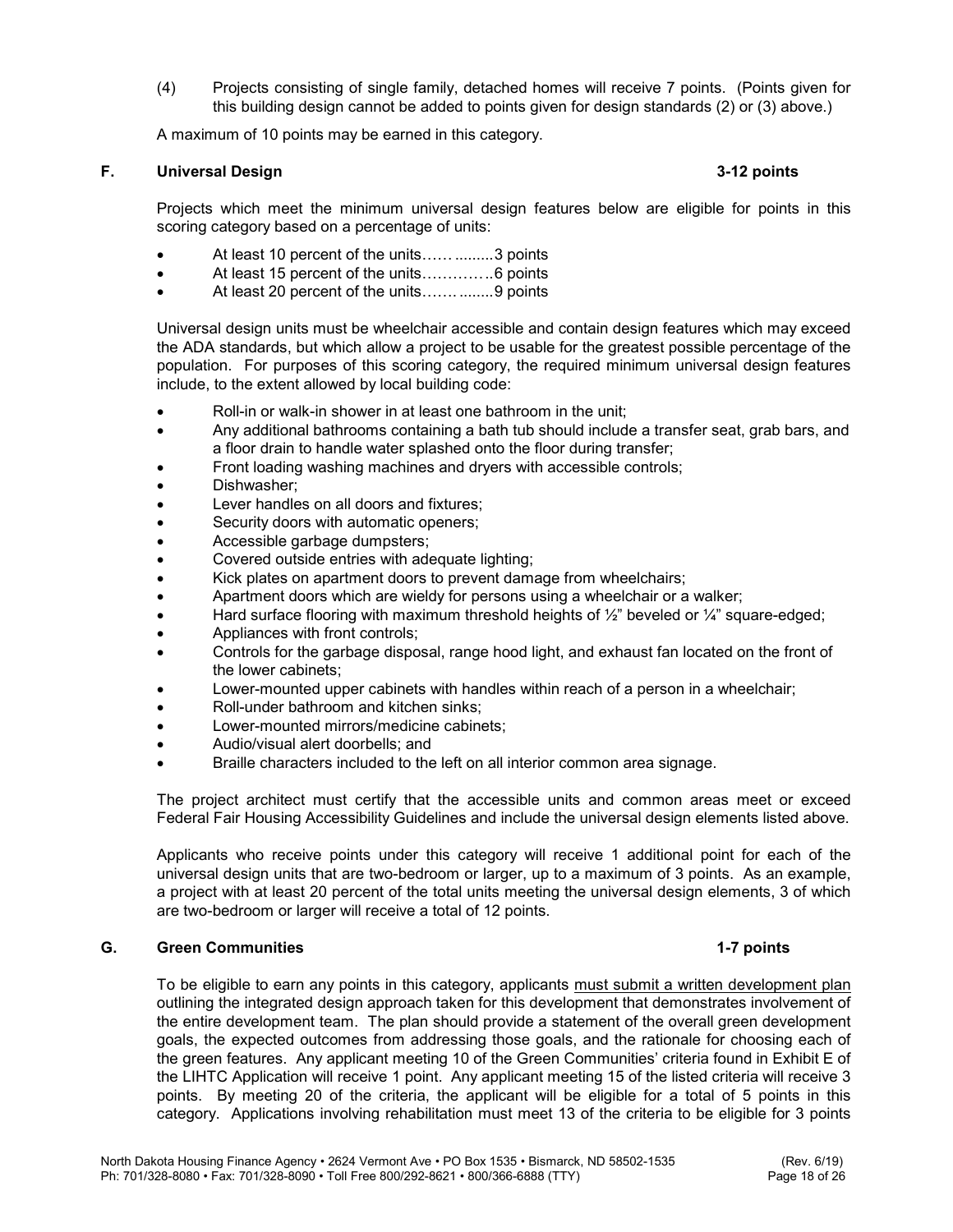(4) Projects consisting of single family, detached homes will receive 7 points. (Points given for this building design cannot be added to points given for design standards (2) or (3) above.)

A maximum of 10 points may be earned in this category.

### F. Universal Design 3-12 points

Projects which meet the minimum universal design features below are eligible for points in this scoring category based on a percentage of units:

- At least 10 percent of the units…… ......... 3 points
- At least 15 percent of the units………… .. 6 points
- At least 20 percent of the units................9 points

Universal design units must be wheelchair accessible and contain design features which may exceed the ADA standards, but which allow a project to be usable for the greatest possible percentage of the population. For purposes of this scoring category, the required minimum universal design features include, to the extent allowed by local building code:

- Roll-in or walk-in shower in at least one bathroom in the unit;
- Any additional bathrooms containing a bath tub should include a transfer seat, grab bars, and a floor drain to handle water splashed onto the floor during transfer;
- Front loading washing machines and dryers with accessible controls;
- Dishwasher;
- Lever handles on all doors and fixtures;
- Security doors with automatic openers;
- Accessible garbage dumpsters;
- Covered outside entries with adequate lighting;
- Kick plates on apartment doors to prevent damage from wheelchairs;
- Apartment doors which are wieldy for persons using a wheelchair or a walker;
- Hard surface flooring with maximum threshold heights of  $\frac{1}{2}$ " beveled or  $\frac{1}{4}$ " square-edged;
- Appliances with front controls;
- Controls for the garbage disposal, range hood light, and exhaust fan located on the front of the lower cabinets;
- Lower-mounted upper cabinets with handles within reach of a person in a wheelchair;
- Roll-under bathroom and kitchen sinks;
- Lower-mounted mirrors/medicine cabinets;
- Audio/visual alert doorbells; and
- Braille characters included to the left on all interior common area signage.

The project architect must certify that the accessible units and common areas meet or exceed Federal Fair Housing Accessibility Guidelines and include the universal design elements listed above.

 Applicants who receive points under this category will receive 1 additional point for each of the universal design units that are two-bedroom or larger, up to a maximum of 3 points. As an example, a project with at least 20 percent of the total units meeting the universal design elements, 3 of which are two-bedroom or larger will receive a total of 12 points.

### G. Green Communities **1-7 points** 1-7 points

To be eligible to earn any points in this category, applicants must submit a written development plan outlining the integrated design approach taken for this development that demonstrates involvement of the entire development team. The plan should provide a statement of the overall green development goals, the expected outcomes from addressing those goals, and the rationale for choosing each of the green features. Any applicant meeting 10 of the Green Communities' criteria found in Exhibit E of the LIHTC Application will receive 1 point. Any applicant meeting 15 of the listed criteria will receive 3 points. By meeting 20 of the criteria, the applicant will be eligible for a total of 5 points in this category. Applications involving rehabilitation must meet 13 of the criteria to be eligible for 3 points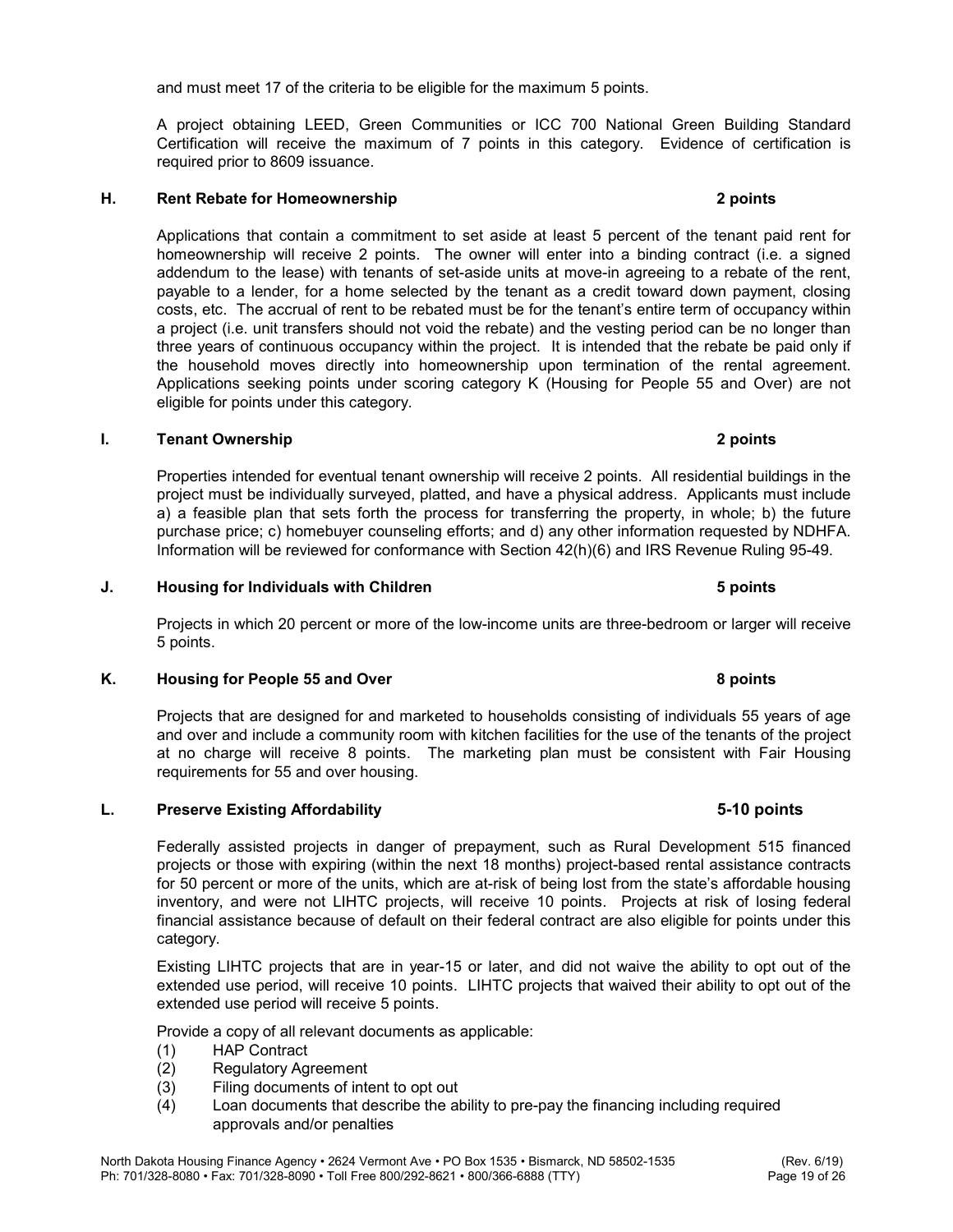and must meet 17 of the criteria to be eligible for the maximum 5 points.

A project obtaining LEED, Green Communities or ICC 700 National Green Building Standard Certification will receive the maximum of 7 points in this category. Evidence of certification is required prior to 8609 issuance.

# H. Rent Rebate for Homeownership 2 points

 Applications that contain a commitment to set aside at least 5 percent of the tenant paid rent for homeownership will receive 2 points. The owner will enter into a binding contract (i.e. a signed addendum to the lease) with tenants of set-aside units at move-in agreeing to a rebate of the rent, payable to a lender, for a home selected by the tenant as a credit toward down payment, closing costs, etc. The accrual of rent to be rebated must be for the tenant's entire term of occupancy within a project (i.e. unit transfers should not void the rebate) and the vesting period can be no longer than three years of continuous occupancy within the project. It is intended that the rebate be paid only if the household moves directly into homeownership upon termination of the rental agreement. Applications seeking points under scoring category K (Housing for People 55 and Over) are not eligible for points under this category.

#### I. Tenant Ownership 2 points

 Properties intended for eventual tenant ownership will receive 2 points. All residential buildings in the project must be individually surveyed, platted, and have a physical address. Applicants must include a) a feasible plan that sets forth the process for transferring the property, in whole; b) the future purchase price; c) homebuyer counseling efforts; and d) any other information requested by NDHFA. Information will be reviewed for conformance with Section 42(h)(6) and IRS Revenue Ruling 95-49.

Projects in which 20 percent or more of the low-income units are three-bedroom or larger will receive 5 points.

J. Housing for Individuals with Children 5 points

#### K. Housing for People 55 and Over 8 points 8 points

Projects that are designed for and marketed to households consisting of individuals 55 years of age and over and include a community room with kitchen facilities for the use of the tenants of the project at no charge will receive 8 points. The marketing plan must be consistent with Fair Housing requirements for 55 and over housing.

#### L. Preserve Existing Affordability 5-10 points

 Federally assisted projects in danger of prepayment, such as Rural Development 515 financed projects or those with expiring (within the next 18 months) project-based rental assistance contracts for 50 percent or more of the units, which are at-risk of being lost from the state's affordable housing inventory, and were not LIHTC projects, will receive 10 points. Projects at risk of losing federal financial assistance because of default on their federal contract are also eligible for points under this category.

 Existing LIHTC projects that are in year-15 or later, and did not waive the ability to opt out of the extended use period, will receive 10 points. LIHTC projects that waived their ability to opt out of the extended use period will receive 5 points.

Provide a copy of all relevant documents as applicable:

- (1) HAP Contract
- (2) Regulatory Agreement
- (3) Filing documents of intent to opt out
- (4) Loan documents that describe the ability to pre-pay the financing including required approvals and/or penalties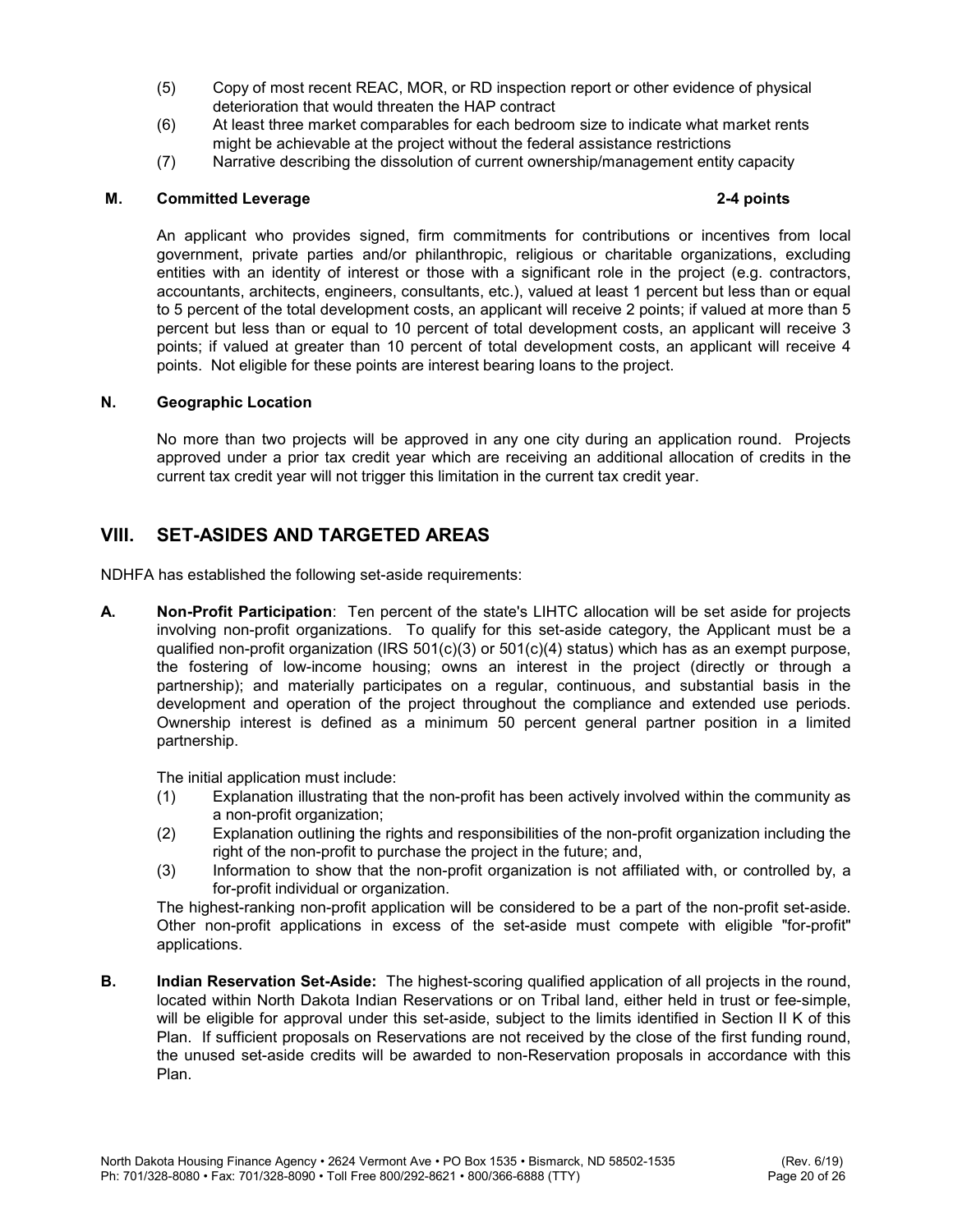- (5) Copy of most recent REAC, MOR, or RD inspection report or other evidence of physical deterioration that would threaten the HAP contract
- (6) At least three market comparables for each bedroom size to indicate what market rents might be achievable at the project without the federal assistance restrictions
- (7) Narrative describing the dissolution of current ownership/management entity capacity

#### M. Committed Leverage 2-4 points

 An applicant who provides signed, firm commitments for contributions or incentives from local government, private parties and/or philanthropic, religious or charitable organizations, excluding entities with an identity of interest or those with a significant role in the project (e.g. contractors, accountants, architects, engineers, consultants, etc.), valued at least 1 percent but less than or equal to 5 percent of the total development costs, an applicant will receive 2 points; if valued at more than 5 percent but less than or equal to 10 percent of total development costs, an applicant will receive 3 points; if valued at greater than 10 percent of total development costs, an applicant will receive 4 points. Not eligible for these points are interest bearing loans to the project.

#### N. Geographic Location

 No more than two projects will be approved in any one city during an application round. Projects approved under a prior tax credit year which are receiving an additional allocation of credits in the current tax credit year will not trigger this limitation in the current tax credit year.

# VIII. SET-ASIDES AND TARGETED AREAS

NDHFA has established the following set-aside requirements:

A. Non-Profit Participation: Ten percent of the state's LIHTC allocation will be set aside for projects involving non-profit organizations. To qualify for this set-aside category, the Applicant must be a qualified non-profit organization (IRS 501(c)(3) or 501(c)(4) status) which has as an exempt purpose, the fostering of low-income housing; owns an interest in the project (directly or through a partnership); and materially participates on a regular, continuous, and substantial basis in the development and operation of the project throughout the compliance and extended use periods. Ownership interest is defined as a minimum 50 percent general partner position in a limited partnership.

The initial application must include:

- (1) Explanation illustrating that the non-profit has been actively involved within the community as a non-profit organization;
- (2) Explanation outlining the rights and responsibilities of the non-profit organization including the right of the non-profit to purchase the project in the future; and,
- (3) Information to show that the non-profit organization is not affiliated with, or controlled by, a for-profit individual or organization.

The highest-ranking non-profit application will be considered to be a part of the non-profit set-aside. Other non-profit applications in excess of the set-aside must compete with eligible "for-profit" applications.

**B.** Indian Reservation Set-Aside: The highest-scoring qualified application of all projects in the round, located within North Dakota Indian Reservations or on Tribal land, either held in trust or fee-simple, will be eligible for approval under this set-aside, subject to the limits identified in Section II K of this Plan. If sufficient proposals on Reservations are not received by the close of the first funding round, the unused set-aside credits will be awarded to non-Reservation proposals in accordance with this Plan.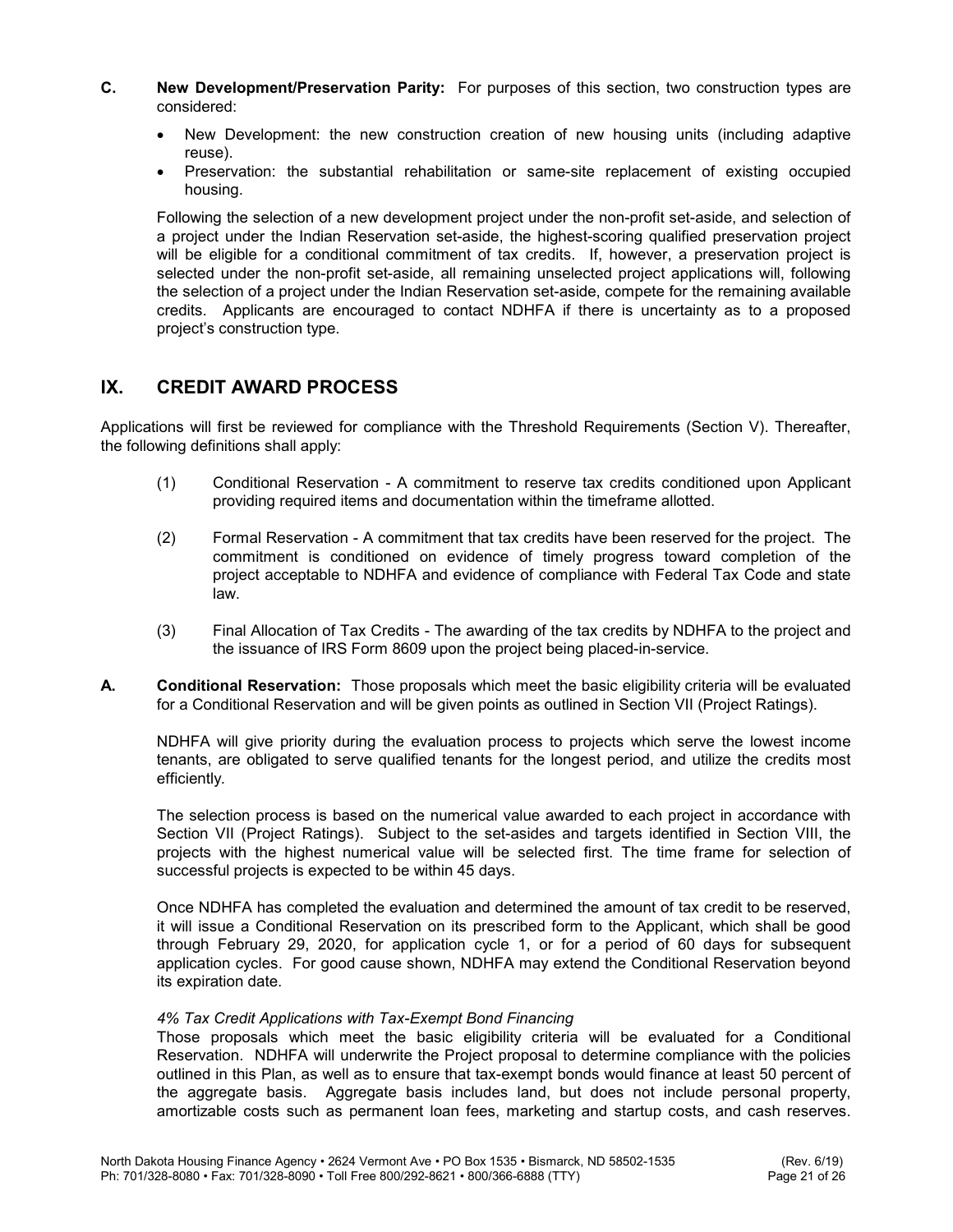- C. New Development/Preservation Parity: For purposes of this section, two construction types are considered:
	- New Development: the new construction creation of new housing units (including adaptive reuse).
	- Preservation: the substantial rehabilitation or same-site replacement of existing occupied housing.

Following the selection of a new development project under the non-profit set-aside, and selection of a project under the Indian Reservation set-aside, the highest-scoring qualified preservation project will be eligible for a conditional commitment of tax credits. If, however, a preservation project is selected under the non-profit set-aside, all remaining unselected project applications will, following the selection of a project under the Indian Reservation set-aside, compete for the remaining available credits. Applicants are encouraged to contact NDHFA if there is uncertainty as to a proposed project's construction type.

# IX. CREDIT AWARD PROCESS

Applications will first be reviewed for compliance with the Threshold Requirements (Section V). Thereafter, the following definitions shall apply:

- (1) Conditional Reservation A commitment to reserve tax credits conditioned upon Applicant providing required items and documentation within the timeframe allotted.
- (2) Formal Reservation A commitment that tax credits have been reserved for the project. The commitment is conditioned on evidence of timely progress toward completion of the project acceptable to NDHFA and evidence of compliance with Federal Tax Code and state law.
- (3) Final Allocation of Tax Credits The awarding of the tax credits by NDHFA to the project and the issuance of IRS Form 8609 upon the project being placed-in-service.
- A. Conditional Reservation: Those proposals which meet the basic eligibility criteria will be evaluated for a Conditional Reservation and will be given points as outlined in Section VII (Project Ratings).

 NDHFA will give priority during the evaluation process to projects which serve the lowest income tenants, are obligated to serve qualified tenants for the longest period, and utilize the credits most efficiently.

 The selection process is based on the numerical value awarded to each project in accordance with Section VII (Project Ratings). Subject to the set-asides and targets identified in Section VIII, the projects with the highest numerical value will be selected first. The time frame for selection of successful projects is expected to be within 45 days.

Once NDHFA has completed the evaluation and determined the amount of tax credit to be reserved, it will issue a Conditional Reservation on its prescribed form to the Applicant, which shall be good through February 29, 2020, for application cycle 1, or for a period of 60 days for subsequent application cycles. For good cause shown, NDHFA may extend the Conditional Reservation beyond its expiration date.

### 4% Tax Credit Applications with Tax-Exempt Bond Financing

 Those proposals which meet the basic eligibility criteria will be evaluated for a Conditional Reservation. NDHFA will underwrite the Project proposal to determine compliance with the policies outlined in this Plan, as well as to ensure that tax-exempt bonds would finance at least 50 percent of the aggregate basis. Aggregate basis includes land, but does not include personal property, amortizable costs such as permanent loan fees, marketing and startup costs, and cash reserves.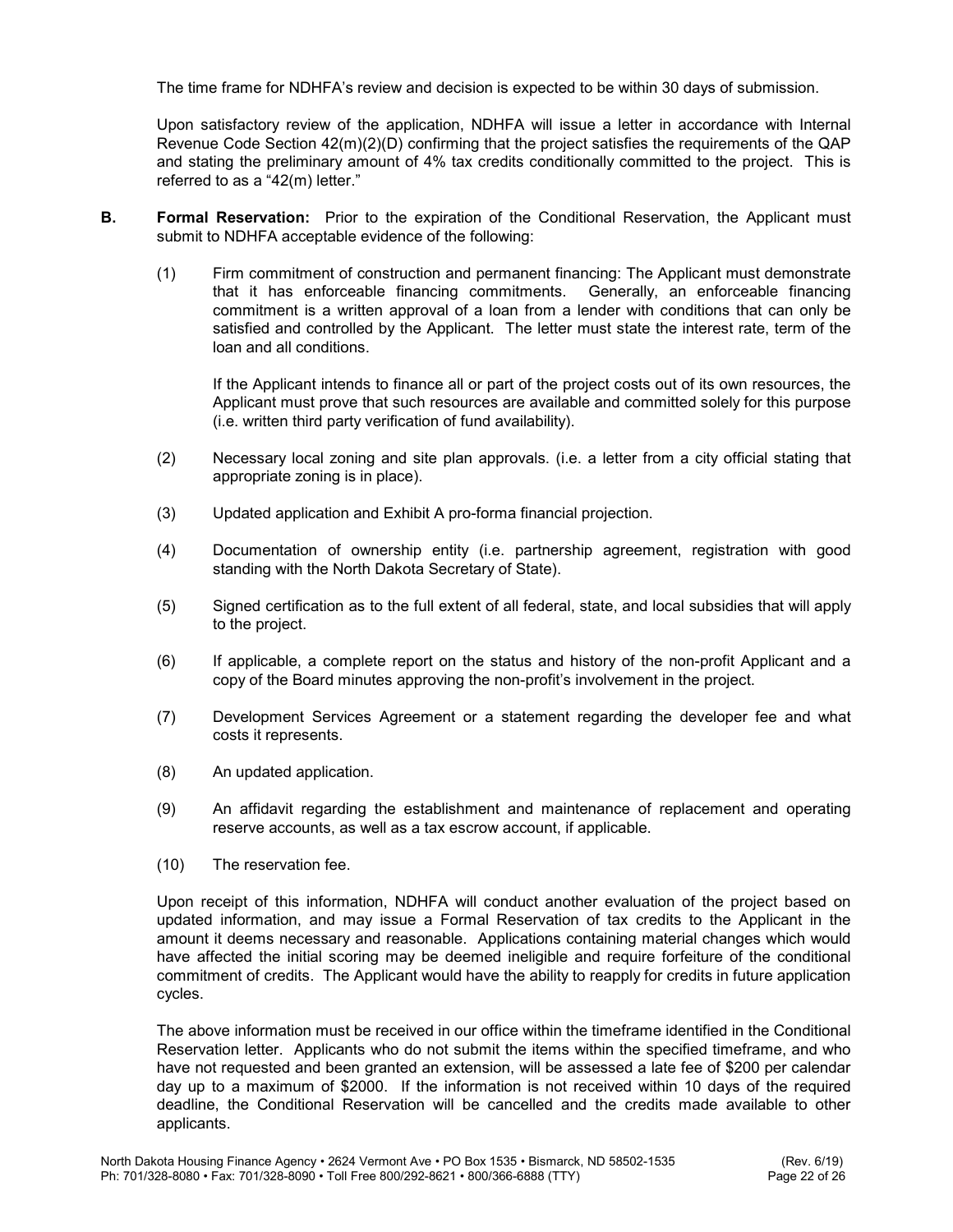The time frame for NDHFA's review and decision is expected to be within 30 days of submission.

Upon satisfactory review of the application, NDHFA will issue a letter in accordance with Internal Revenue Code Section 42(m)(2)(D) confirming that the project satisfies the requirements of the QAP and stating the preliminary amount of 4% tax credits conditionally committed to the project. This is referred to as a "42(m) letter."

- **B.** Formal Reservation: Prior to the expiration of the Conditional Reservation, the Applicant must submit to NDHFA acceptable evidence of the following:
	- (1) Firm commitment of construction and permanent financing: The Applicant must demonstrate that it has enforceable financing commitments. Generally, an enforceable financing commitment is a written approval of a loan from a lender with conditions that can only be satisfied and controlled by the Applicant. The letter must state the interest rate, term of the loan and all conditions.

 If the Applicant intends to finance all or part of the project costs out of its own resources, the Applicant must prove that such resources are available and committed solely for this purpose (i.e. written third party verification of fund availability).

- (2) Necessary local zoning and site plan approvals. (i.e. a letter from a city official stating that appropriate zoning is in place).
- (3) Updated application and Exhibit A pro-forma financial projection.
- (4) Documentation of ownership entity (i.e. partnership agreement, registration with good standing with the North Dakota Secretary of State).
- (5) Signed certification as to the full extent of all federal, state, and local subsidies that will apply to the project.
- (6) If applicable, a complete report on the status and history of the non-profit Applicant and a copy of the Board minutes approving the non-profit's involvement in the project.
- (7) Development Services Agreement or a statement regarding the developer fee and what costs it represents.
- (8) An updated application.
- (9) An affidavit regarding the establishment and maintenance of replacement and operating reserve accounts, as well as a tax escrow account, if applicable.
- (10) The reservation fee.

 Upon receipt of this information, NDHFA will conduct another evaluation of the project based on updated information, and may issue a Formal Reservation of tax credits to the Applicant in the amount it deems necessary and reasonable. Applications containing material changes which would have affected the initial scoring may be deemed ineligible and require forfeiture of the conditional commitment of credits. The Applicant would have the ability to reapply for credits in future application cycles.

 The above information must be received in our office within the timeframe identified in the Conditional Reservation letter. Applicants who do not submit the items within the specified timeframe, and who have not requested and been granted an extension, will be assessed a late fee of \$200 per calendar day up to a maximum of \$2000. If the information is not received within 10 days of the required deadline, the Conditional Reservation will be cancelled and the credits made available to other applicants.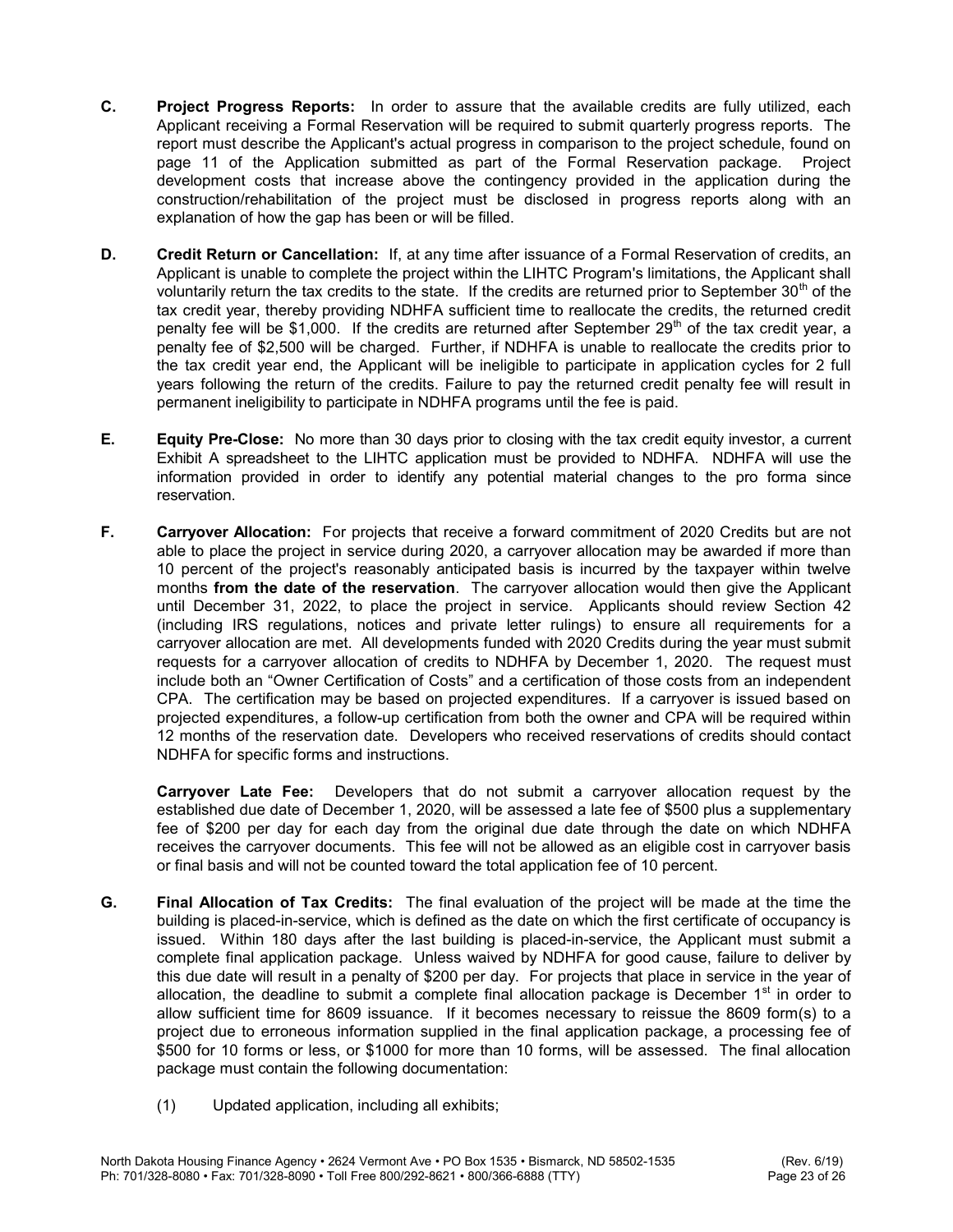- C. Project Progress Reports: In order to assure that the available credits are fully utilized, each Applicant receiving a Formal Reservation will be required to submit quarterly progress reports. The report must describe the Applicant's actual progress in comparison to the project schedule, found on page 11 of the Application submitted as part of the Formal Reservation package. Project development costs that increase above the contingency provided in the application during the construction/rehabilitation of the project must be disclosed in progress reports along with an explanation of how the gap has been or will be filled.
- D. Credit Return or Cancellation: If, at any time after issuance of a Formal Reservation of credits, an Applicant is unable to complete the project within the LIHTC Program's limitations, the Applicant shall voluntarily return the tax credits to the state. If the credits are returned prior to September  $30<sup>th</sup>$  of the tax credit year, thereby providing NDHFA sufficient time to reallocate the credits, the returned credit penalty fee will be \$1,000. If the credits are returned after September  $29<sup>th</sup>$  of the tax credit year, a penalty fee of \$2,500 will be charged. Further, if NDHFA is unable to reallocate the credits prior to the tax credit year end, the Applicant will be ineligible to participate in application cycles for 2 full years following the return of the credits. Failure to pay the returned credit penalty fee will result in permanent ineligibility to participate in NDHFA programs until the fee is paid.
- **E.** Equity Pre-Close: No more than 30 days prior to closing with the tax credit equity investor, a current Exhibit A spreadsheet to the LIHTC application must be provided to NDHFA. NDHFA will use the information provided in order to identify any potential material changes to the pro forma since reservation.
- F. Carryover Allocation: For projects that receive a forward commitment of 2020 Credits but are not able to place the project in service during 2020, a carryover allocation may be awarded if more than 10 percent of the project's reasonably anticipated basis is incurred by the taxpayer within twelve months from the date of the reservation. The carryover allocation would then give the Applicant until December 31, 2022, to place the project in service. Applicants should review Section 42 (including IRS regulations, notices and private letter rulings) to ensure all requirements for a carryover allocation are met. All developments funded with 2020 Credits during the year must submit requests for a carryover allocation of credits to NDHFA by December 1, 2020. The request must include both an "Owner Certification of Costs" and a certification of those costs from an independent CPA. The certification may be based on projected expenditures. If a carryover is issued based on projected expenditures, a follow-up certification from both the owner and CPA will be required within 12 months of the reservation date. Developers who received reservations of credits should contact NDHFA for specific forms and instructions.

Carryover Late Fee: Developers that do not submit a carryover allocation request by the established due date of December 1, 2020, will be assessed a late fee of \$500 plus a supplementary fee of \$200 per day for each day from the original due date through the date on which NDHFA receives the carryover documents. This fee will not be allowed as an eligible cost in carryover basis or final basis and will not be counted toward the total application fee of 10 percent.

- G. Final Allocation of Tax Credits: The final evaluation of the project will be made at the time the building is placed-in-service, which is defined as the date on which the first certificate of occupancy is issued. Within 180 days after the last building is placed-in-service, the Applicant must submit a complete final application package. Unless waived by NDHFA for good cause, failure to deliver by this due date will result in a penalty of \$200 per day. For projects that place in service in the year of allocation, the deadline to submit a complete final allocation package is December 1<sup>st</sup> in order to allow sufficient time for 8609 issuance. If it becomes necessary to reissue the 8609 form(s) to a project due to erroneous information supplied in the final application package, a processing fee of \$500 for 10 forms or less, or \$1000 for more than 10 forms, will be assessed. The final allocation package must contain the following documentation:
	- (1) Updated application, including all exhibits;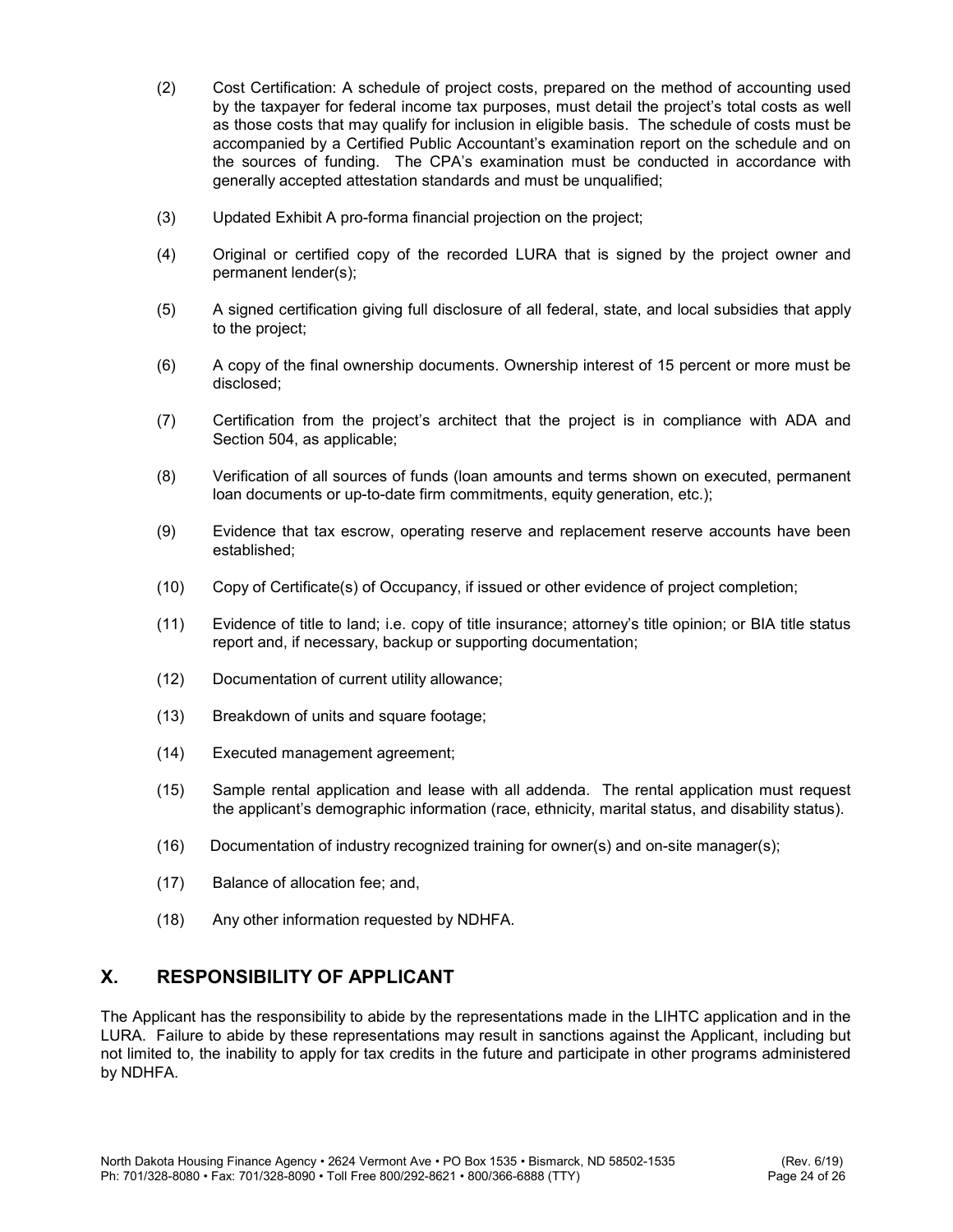- (2) Cost Certification: A schedule of project costs, prepared on the method of accounting used by the taxpayer for federal income tax purposes, must detail the project's total costs as well as those costs that may qualify for inclusion in eligible basis. The schedule of costs must be accompanied by a Certified Public Accountant's examination report on the schedule and on the sources of funding. The CPA's examination must be conducted in accordance with generally accepted attestation standards and must be unqualified;
- (3) Updated Exhibit A pro-forma financial projection on the project;
- (4) Original or certified copy of the recorded LURA that is signed by the project owner and permanent lender(s);
- (5) A signed certification giving full disclosure of all federal, state, and local subsidies that apply to the project;
- (6) A copy of the final ownership documents. Ownership interest of 15 percent or more must be disclosed;
- (7) Certification from the project's architect that the project is in compliance with ADA and Section 504, as applicable;
- (8) Verification of all sources of funds (loan amounts and terms shown on executed, permanent loan documents or up-to-date firm commitments, equity generation, etc.);
- (9) Evidence that tax escrow, operating reserve and replacement reserve accounts have been established;
- (10) Copy of Certificate(s) of Occupancy, if issued or other evidence of project completion;
- (11) Evidence of title to land; i.e. copy of title insurance; attorney's title opinion; or BIA title status report and, if necessary, backup or supporting documentation;
- (12) Documentation of current utility allowance;
- (13) Breakdown of units and square footage;
- (14) Executed management agreement;
- (15) Sample rental application and lease with all addenda. The rental application must request the applicant's demographic information (race, ethnicity, marital status, and disability status).
- $(16)$  Documentation of industry recognized training for owner(s) and on-site manager(s);
- (17) Balance of allocation fee; and,
- (18) Any other information requested by NDHFA.

# X. RESPONSIBILITY OF APPLICANT

The Applicant has the responsibility to abide by the representations made in the LIHTC application and in the LURA. Failure to abide by these representations may result in sanctions against the Applicant, including but not limited to, the inability to apply for tax credits in the future and participate in other programs administered by NDHFA.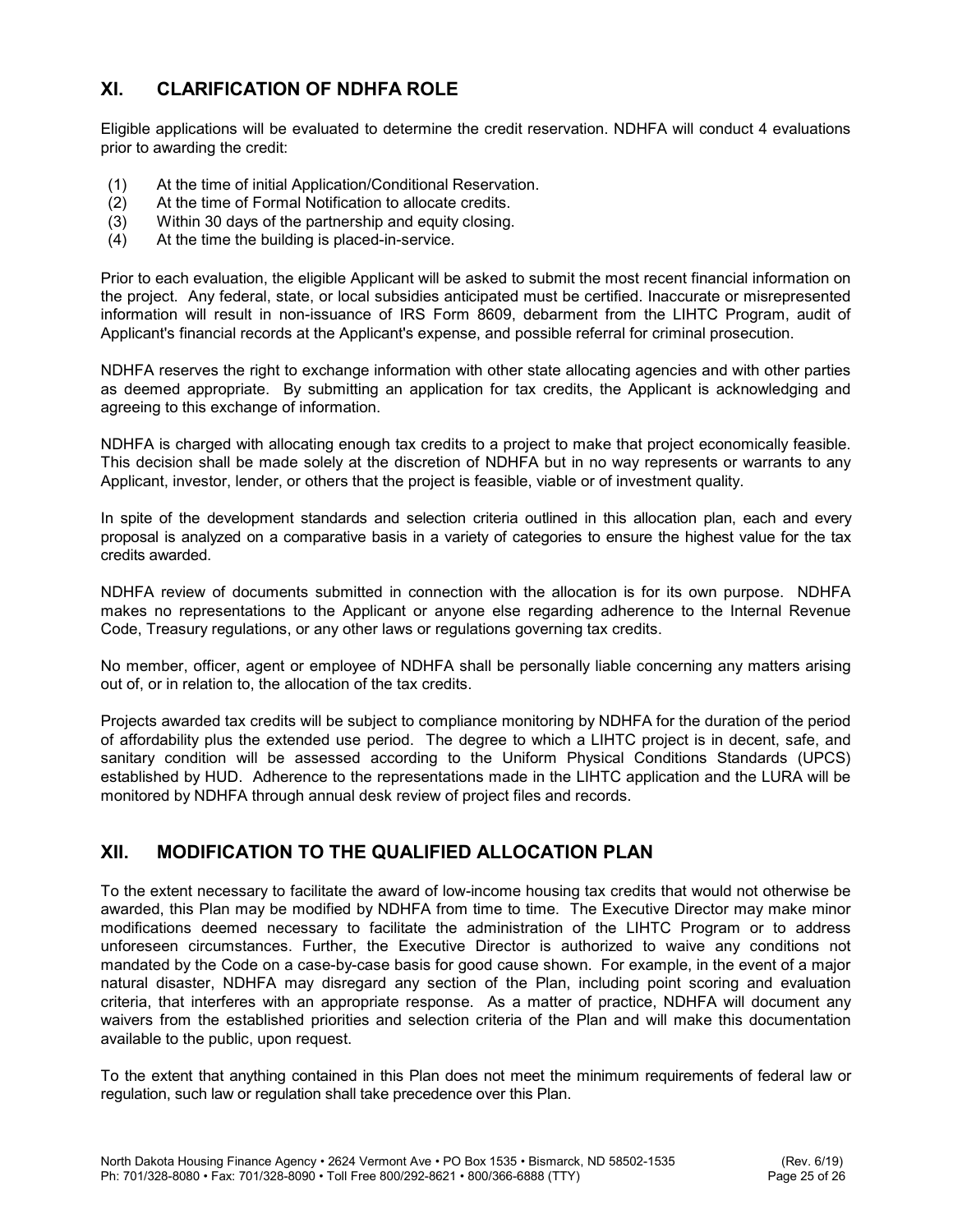# XI. CLARIFICATION OF NDHFA ROLE

Eligible applications will be evaluated to determine the credit reservation. NDHFA will conduct 4 evaluations prior to awarding the credit:

- (1) At the time of initial Application/Conditional Reservation.
- (2) At the time of Formal Notification to allocate credits.
- (3) Within 30 days of the partnership and equity closing.
- (4) At the time the building is placed-in-service.

Prior to each evaluation, the eligible Applicant will be asked to submit the most recent financial information on the project. Any federal, state, or local subsidies anticipated must be certified. Inaccurate or misrepresented information will result in non-issuance of IRS Form 8609, debarment from the LIHTC Program, audit of Applicant's financial records at the Applicant's expense, and possible referral for criminal prosecution.

NDHFA reserves the right to exchange information with other state allocating agencies and with other parties as deemed appropriate. By submitting an application for tax credits, the Applicant is acknowledging and agreeing to this exchange of information.

NDHFA is charged with allocating enough tax credits to a project to make that project economically feasible. This decision shall be made solely at the discretion of NDHFA but in no way represents or warrants to any Applicant, investor, lender, or others that the project is feasible, viable or of investment quality.

In spite of the development standards and selection criteria outlined in this allocation plan, each and every proposal is analyzed on a comparative basis in a variety of categories to ensure the highest value for the tax credits awarded.

NDHFA review of documents submitted in connection with the allocation is for its own purpose. NDHFA makes no representations to the Applicant or anyone else regarding adherence to the Internal Revenue Code, Treasury regulations, or any other laws or regulations governing tax credits.

No member, officer, agent or employee of NDHFA shall be personally liable concerning any matters arising out of, or in relation to, the allocation of the tax credits.

Projects awarded tax credits will be subject to compliance monitoring by NDHFA for the duration of the period of affordability plus the extended use period. The degree to which a LIHTC project is in decent, safe, and sanitary condition will be assessed according to the Uniform Physical Conditions Standards (UPCS) established by HUD. Adherence to the representations made in the LIHTC application and the LURA will be monitored by NDHFA through annual desk review of project files and records.

# XII. MODIFICATION TO THE QUALIFIED ALLOCATION PLAN

To the extent necessary to facilitate the award of low-income housing tax credits that would not otherwise be awarded, this Plan may be modified by NDHFA from time to time. The Executive Director may make minor modifications deemed necessary to facilitate the administration of the LIHTC Program or to address unforeseen circumstances. Further, the Executive Director is authorized to waive any conditions not mandated by the Code on a case-by-case basis for good cause shown. For example, in the event of a major natural disaster, NDHFA may disregard any section of the Plan, including point scoring and evaluation criteria, that interferes with an appropriate response. As a matter of practice, NDHFA will document any waivers from the established priorities and selection criteria of the Plan and will make this documentation available to the public, upon request.

To the extent that anything contained in this Plan does not meet the minimum requirements of federal law or regulation, such law or regulation shall take precedence over this Plan.